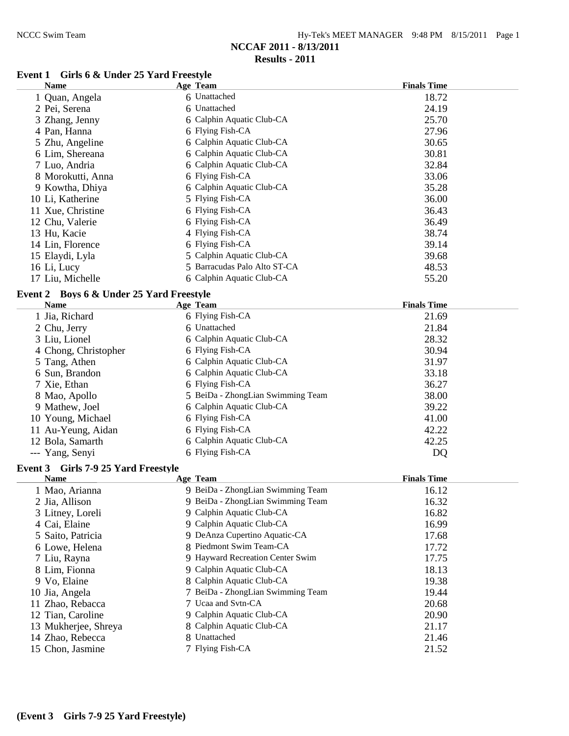| Hy-Tek's MEET MANAGER 9:48 PM 8/15/2011 Page 1 |  |  |  |
|------------------------------------------------|--|--|--|
|------------------------------------------------|--|--|--|

#### **Results - 2011**

# **Event 1 Girls 6 & Under 25 Yard Freestyle**

| <b>Name</b>                              | <b>Age Team</b>                   | <b>Finals Time</b> |
|------------------------------------------|-----------------------------------|--------------------|
| 1 Quan, Angela                           | 6 Unattached                      | 18.72              |
| 2 Pei, Serena                            | 6 Unattached                      | 24.19              |
| 3 Zhang, Jenny                           | 6 Calphin Aquatic Club-CA         | 25.70              |
| 4 Pan, Hanna                             | 6 Flying Fish-CA                  | 27.96              |
| 5 Zhu, Angeline                          | 6 Calphin Aquatic Club-CA         | 30.65              |
| 6 Lim, Shereana                          | 6 Calphin Aquatic Club-CA         | 30.81              |
| 7 Luo, Andria                            | 6 Calphin Aquatic Club-CA         | 32.84              |
| 8 Morokutti, Anna                        | 6 Flying Fish-CA                  | 33.06              |
| 9 Kowtha, Dhiya                          | 6 Calphin Aquatic Club-CA         | 35.28              |
| 10 Li, Katherine                         | 5 Flying Fish-CA                  | 36.00              |
| 11 Xue, Christine                        | 6 Flying Fish-CA                  | 36.43              |
| 12 Chu, Valerie                          | 6 Flying Fish-CA                  | 36.49              |
| 13 Hu, Kacie                             | 4 Flying Fish-CA                  | 38.74              |
| 14 Lin, Florence                         | 6 Flying Fish-CA                  | 39.14              |
| 15 Elaydi, Lyla                          | 5 Calphin Aquatic Club-CA         | 39.68              |
| 16 Li, Lucy                              | 5 Barracudas Palo Alto ST-CA      | 48.53              |
| 17 Liu, Michelle                         | 6 Calphin Aquatic Club-CA         | 55.20              |
| Event 2 Boys 6 & Under 25 Yard Freestyle |                                   |                    |
| <b>Name</b>                              | Age Team                          | <b>Finals Time</b> |
| 1 Jia, Richard                           | 6 Flying Fish-CA                  | 21.69              |
| 2 Chu, Jerry                             | 6 Unattached                      | 21.84              |
| 3 Liu, Lionel                            | 6 Calphin Aquatic Club-CA         | 28.32              |
| 4 Chong, Christopher                     | 6 Flying Fish-CA                  | 30.94              |
| 5 Tang, Athen                            | 6 Calphin Aquatic Club-CA         | 31.97              |
| 6 Sun, Brandon                           | 6 Calphin Aquatic Club-CA         | 33.18              |
| 7 Xie, Ethan                             | 6 Flying Fish-CA                  | 36.27              |
| 8 Mao, Apollo                            | 5 BeiDa - ZhongLian Swimming Team | 38.00              |
| 9 Mathew, Joel                           | 6 Calphin Aquatic Club-CA         | 39.22              |
| 10 Young, Michael                        | 6 Flying Fish-CA                  | 41.00              |
| 11 Au-Yeung, Aidan                       | 6 Flying Fish-CA                  | 42.22              |
| 12 Bola, Samarth                         | 6 Calphin Aquatic Club-CA         | 42.25              |
| --- Yang, Senyi                          | 6 Flying Fish-CA                  | DQ                 |

## **Event 3 Girls 7-9 25 Yard Freestyle**

| <b>Name</b>          | Age Team                          | <b>Finals Time</b> |
|----------------------|-----------------------------------|--------------------|
| 1 Mao, Arianna       | 9 BeiDa - ZhongLian Swimming Team | 16.12              |
| 2 Jia, Allison       | 9 BeiDa - ZhongLian Swimming Team | 16.32              |
| 3 Litney, Loreli     | 9 Calphin Aquatic Club-CA         | 16.82              |
| 4 Cai, Elaine        | 9 Calphin Aquatic Club-CA         | 16.99              |
| 5 Saito, Patricia    | 9 DeAnza Cupertino Aquatic-CA     | 17.68              |
| 6 Lowe, Helena       | 8 Piedmont Swim Team-CA           | 17.72              |
| 7 Liu, Rayna         | 9 Hayward Recreation Center Swim  | 17.75              |
| 8 Lim, Fionna        | 9 Calphin Aquatic Club-CA         | 18.13              |
| 9 Vo, Elaine         | 8 Calphin Aquatic Club-CA         | 19.38              |
| 10 Jia, Angela       | 7 BeiDa - ZhongLian Swimming Team | 19.44              |
| 11 Zhao, Rebacca     | 7 Ucaa and Svtn-CA                | 20.68              |
| 12 Tian, Caroline    | 9 Calphin Aquatic Club-CA         | 20.90              |
| 13 Mukherjee, Shreya | 8 Calphin Aquatic Club-CA         | 21.17              |
| 14 Zhao, Rebecca     | 8 Unattached                      | 21.46              |
| 15 Chon, Jasmine     | 7 Flying Fish-CA                  | 21.52              |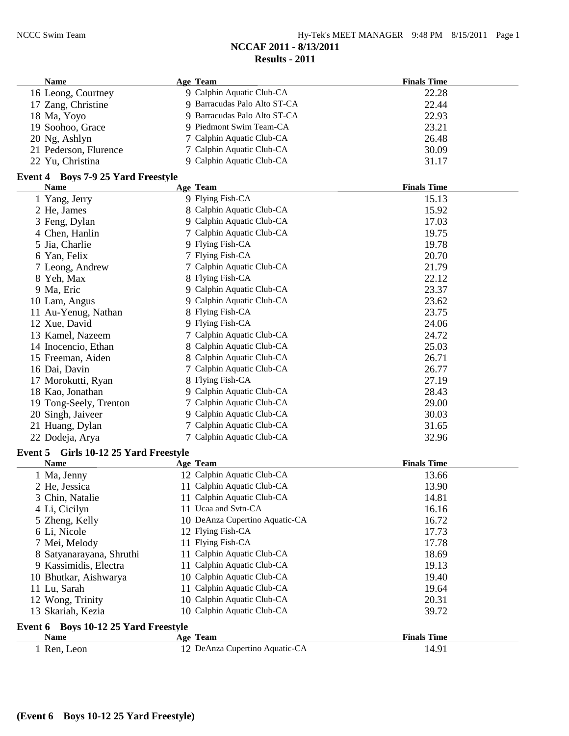| <b>Name</b>           | Age Team                     | <b>Finals Time</b> |
|-----------------------|------------------------------|--------------------|
| 16 Leong, Courtney    | 9 Calphin Aquatic Club-CA    | 22.28              |
| 17 Zang, Christine    | 9 Barracudas Palo Alto ST-CA | 22.44              |
| 18 Ma, Yoyo           | 9 Barracudas Palo Alto ST-CA | 22.93              |
| 19 Soohoo, Grace      | 9 Piedmont Swim Team-CA      | 23.21              |
| 20 Ng, Ashlyn         | 7 Calphin Aquatic Club-CA    | 26.48              |
| 21 Pederson, Flurence | 7 Calphin Aquatic Club-CA    | 30.09              |
| 22 Yu, Christina      | 9 Calphin Aquatic Club-CA    | 31.17              |

#### **Event 4 Boys 7-9 25 Yard Freestyle**

| <b>Name</b>                           | Age Team                       | <b>Finals Time</b> |
|---------------------------------------|--------------------------------|--------------------|
| 1 Yang, Jerry                         | 9 Flying Fish-CA               | 15.13              |
| 2 He, James                           | 8 Calphin Aquatic Club-CA      | 15.92              |
| 3 Feng, Dylan                         | 9 Calphin Aquatic Club-CA      | 17.03              |
| 4 Chen, Hanlin                        | 7 Calphin Aquatic Club-CA      | 19.75              |
| 5 Jia, Charlie                        | 9 Flying Fish-CA               | 19.78              |
| 6 Yan, Felix                          | 7 Flying Fish-CA               | 20.70              |
| 7 Leong, Andrew                       | 7 Calphin Aquatic Club-CA      | 21.79              |
| 8 Yeh, Max                            | 8 Flying Fish-CA               | 22.12              |
| 9 Ma, Eric                            | 9 Calphin Aquatic Club-CA      | 23.37              |
| 10 Lam, Angus                         | 9 Calphin Aquatic Club-CA      | 23.62              |
| 11 Au-Yenug, Nathan                   | 8 Flying Fish-CA               | 23.75              |
| 12 Xue, David                         | 9 Flying Fish-CA               | 24.06              |
| 13 Kamel, Nazeem                      | 7 Calphin Aquatic Club-CA      | 24.72              |
| 14 Inocencio, Ethan                   | 8 Calphin Aquatic Club-CA      | 25.03              |
| 15 Freeman, Aiden                     | 8 Calphin Aquatic Club-CA      | 26.71              |
| 16 Dai, Davin                         | 7 Calphin Aquatic Club-CA      | 26.77              |
| 17 Morokutti, Ryan                    | 8 Flying Fish-CA               | 27.19              |
| 18 Kao, Jonathan                      | 9 Calphin Aquatic Club-CA      | 28.43              |
| 19 Tong-Seely, Trenton                | 7 Calphin Aquatic Club-CA      | 29.00              |
| 20 Singh, Jaiveer                     | 9 Calphin Aquatic Club-CA      | 30.03              |
| 21 Huang, Dylan                       | 7 Calphin Aquatic Club-CA      | 31.65              |
| 22 Dodeja, Arya                       | 7 Calphin Aquatic Club-CA      | 32.96              |
| Event 5 Girls 10-12 25 Yard Freestyle |                                |                    |
| <b>Name</b>                           | Age Team                       | <b>Finals Time</b> |
| 1 Ma, Jenny                           | 12 Calphin Aquatic Club-CA     | 13.66              |
| 2 He, Jessica                         | 11 Calphin Aquatic Club-CA     | 13.90              |
| 3 Chin, Natalie                       | 11 Calphin Aquatic Club-CA     | 14.81              |
| 4 Li, Cicilyn                         | 11 Ucaa and Svtn-CA            | 16.16              |
| 5 Zheng, Kelly                        | 10 DeAnza Cupertino Aquatic-CA | 16.72              |
| 6 Li, Nicole                          | 12 Flying Fish-CA              | 17.73              |
| 7 Mei, Melody                         | 11 Flying Fish-CA              | 17.78              |
| 8 Satyanarayana, Shruthi              | 11 Calphin Aquatic Club-CA     | 18.69              |
| 9 Kassimidis, Electra                 | 11 Calphin Aquatic Club-CA     | 19.13              |
| 10 Bhutkar, Aishwarya                 | 10 Calphin Aquatic Club-CA     | 19.40              |
| 11 Lu, Sarah                          | 11 Calphin Aquatic Club-CA     | 19.64              |
| 12 Wong, Trinity                      | 10 Calphin Aquatic Club-CA     | 20.31              |
| 13 Skariah, Kezia                     | 10 Calphin Aquatic Club-CA     | 39.72              |
| Event 6 Boys 10-12 25 Yard Freestyle  |                                |                    |
|                                       |                                | $\mathbf{r}$       |

| <b>Name</b> | Age Team                       | <b>Finals Time</b> |
|-------------|--------------------------------|--------------------|
| Ren, Leon   | 12 DeAnza Cupertino Aquatic-CA | 14.91              |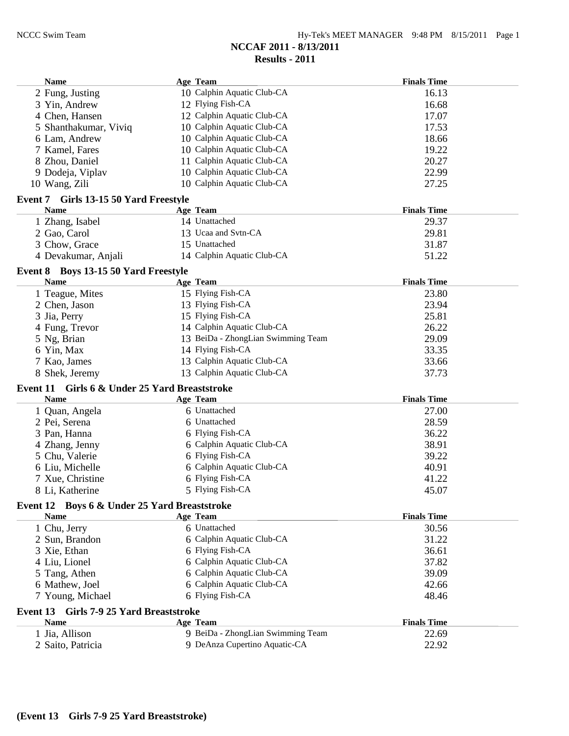| <b>Name</b>                                   | Age Team                           | <b>Finals Time</b> |
|-----------------------------------------------|------------------------------------|--------------------|
| 2 Fung, Justing                               | 10 Calphin Aquatic Club-CA         | 16.13              |
| 3 Yin, Andrew                                 | 12 Flying Fish-CA                  | 16.68              |
| 4 Chen, Hansen                                | 12 Calphin Aquatic Club-CA         | 17.07              |
| 5 Shanthakumar, Viviq                         | 10 Calphin Aquatic Club-CA         | 17.53              |
| 6 Lam, Andrew                                 | 10 Calphin Aquatic Club-CA         | 18.66              |
| 7 Kamel, Fares                                | 10 Calphin Aquatic Club-CA         | 19.22              |
| 8 Zhou, Daniel                                | 11 Calphin Aquatic Club-CA         | 20.27              |
| 9 Dodeja, Viplav                              | 10 Calphin Aquatic Club-CA         | 22.99              |
| 10 Wang, Zili                                 | 10 Calphin Aquatic Club-CA         | 27.25              |
| Event 7 Girls 13-15 50 Yard Freestyle         |                                    |                    |
| <b>Name</b>                                   | <b>Age Team</b>                    | <b>Finals Time</b> |
| 1 Zhang, Isabel                               | 14 Unattached                      | 29.37              |
| 2 Gao, Carol                                  | 13 Ucaa and Svtn-CA                | 29.81              |
| 3 Chow, Grace                                 | 15 Unattached                      | 31.87              |
| 4 Devakumar, Anjali                           | 14 Calphin Aquatic Club-CA         | 51.22              |
|                                               |                                    |                    |
| Event 8 Boys 13-15 50 Yard Freestyle          |                                    |                    |
| <b>Name</b>                                   | Age Team                           | <b>Finals Time</b> |
| 1 Teague, Mites                               | 15 Flying Fish-CA                  | 23.80              |
| 2 Chen, Jason                                 | 13 Flying Fish-CA                  | 23.94              |
| 3 Jia, Perry                                  | 15 Flying Fish-CA                  | 25.81              |
| 4 Fung, Trevor                                | 14 Calphin Aquatic Club-CA         | 26.22              |
| 5 Ng, Brian                                   | 13 BeiDa - ZhongLian Swimming Team | 29.09              |
| 6 Yin, Max                                    | 14 Flying Fish-CA                  | 33.35              |
| 7 Kao, James                                  | 13 Calphin Aquatic Club-CA         | 33.66              |
| 8 Shek, Jeremy                                | 13 Calphin Aquatic Club-CA         | 37.73              |
| Event 11 Girls 6 & Under 25 Yard Breaststroke |                                    |                    |
| <b>Name</b>                                   | <b>Age Team</b>                    | <b>Finals Time</b> |
| 1 Quan, Angela                                | 6 Unattached                       | 27.00              |
| 2 Pei, Serena                                 | 6 Unattached                       | 28.59              |
| 3 Pan, Hanna                                  | 6 Flying Fish-CA                   | 36.22              |
| 4 Zhang, Jenny                                | 6 Calphin Aquatic Club-CA          | 38.91              |
| 5 Chu, Valerie                                | 6 Flying Fish-CA                   | 39.22              |
| 6 Liu, Michelle                               | 6 Calphin Aquatic Club-CA          | 40.91              |
| 7 Xue, Christine                              | 6 Flying Fish-CA                   | 41.22              |
| 8 Li, Katherine                               | 5 Flying Fish-CA                   | 45.07              |
| Event 12 Boys 6 & Under 25 Yard Breaststroke  |                                    |                    |
| <b>Name</b>                                   | Age Team                           | <b>Finals Time</b> |
| 1 Chu, Jerry                                  | 6 Unattached                       | 30.56              |
| 2 Sun, Brandon                                | 6 Calphin Aquatic Club-CA          | 31.22              |
| 3 Xie, Ethan                                  | 6 Flying Fish-CA                   | 36.61              |
| 4 Liu, Lionel                                 | 6 Calphin Aquatic Club-CA          | 37.82              |
| 5 Tang, Athen                                 | 6 Calphin Aquatic Club-CA          | 39.09              |
| 6 Mathew, Joel                                | 6 Calphin Aquatic Club-CA          | 42.66              |
| 7 Young, Michael                              | 6 Flying Fish-CA                   | 48.46              |
|                                               |                                    |                    |
| Event 13 Girls 7-9 25 Yard Breaststroke       |                                    |                    |
| <b>Name</b>                                   | Age Team                           | <b>Finals Time</b> |
| 1 Jia, Allison                                | 9 BeiDa - ZhongLian Swimming Team  | 22.69              |
| 2 Saito, Patricia                             | 9 DeAnza Cupertino Aquatic-CA      | 22.92              |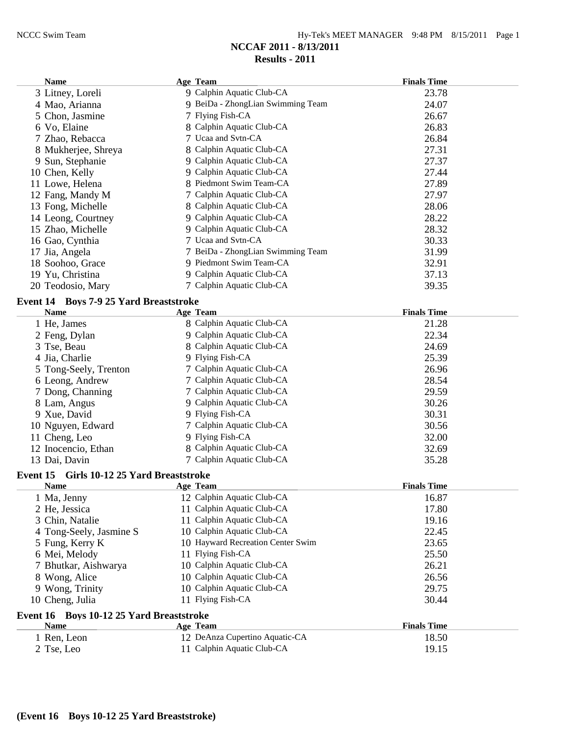| Hy-Tek's MEET MANAGER 9:48 PM 8/15/2011 Page 1 |  |  |  |
|------------------------------------------------|--|--|--|
|------------------------------------------------|--|--|--|

| <b>Name</b>                                         | Age Team                          | <b>Finals Time</b> |
|-----------------------------------------------------|-----------------------------------|--------------------|
| 3 Litney, Loreli                                    | 9 Calphin Aquatic Club-CA         | 23.78              |
| 4 Mao, Arianna                                      | 9 BeiDa - ZhongLian Swimming Team | 24.07              |
| 5 Chon, Jasmine                                     | 7 Flying Fish-CA                  | 26.67              |
| 6 Vo, Elaine                                        | 8 Calphin Aquatic Club-CA         | 26.83              |
| 7 Zhao, Rebacca                                     | 7 Ucaa and Svtn-CA                | 26.84              |
| 8 Mukherjee, Shreya                                 | 8 Calphin Aquatic Club-CA         | 27.31              |
| 9 Sun, Stephanie                                    | 9 Calphin Aquatic Club-CA         | 27.37              |
| 10 Chen, Kelly                                      | 9 Calphin Aquatic Club-CA         | 27.44              |
| 11 Lowe, Helena                                     | 8 Piedmont Swim Team-CA           | 27.89              |
| 12 Fang, Mandy M                                    | 7 Calphin Aquatic Club-CA         | 27.97              |
| 13 Fong, Michelle                                   | 8 Calphin Aquatic Club-CA         | 28.06              |
| 14 Leong, Courtney                                  | 9 Calphin Aquatic Club-CA         | 28.22              |
| 15 Zhao, Michelle                                   | 9 Calphin Aquatic Club-CA         | 28.32              |
| 16 Gao, Cynthia                                     | 7 Ucaa and Svtn-CA                | 30.33              |
| 17 Jia, Angela                                      | 7 BeiDa - ZhongLian Swimming Team | 31.99              |
| 18 Soohoo, Grace                                    | 9 Piedmont Swim Team-CA           | 32.91              |
| 19 Yu, Christina                                    | 9 Calphin Aquatic Club-CA         | 37.13              |
| 20 Teodosio, Mary                                   | 7 Calphin Aquatic Club-CA         | 39.35              |
| Event 14 Boys 7-9 25 Yard Breaststroke              |                                   |                    |
| <b>Name</b>                                         | Age Team                          | <b>Finals Time</b> |
| 1 He, James                                         | 8 Calphin Aquatic Club-CA         | 21.28              |
| 2 Feng, Dylan                                       | 9 Calphin Aquatic Club-CA         | 22.34              |
| 3 Tse, Beau                                         | 8 Calphin Aquatic Club-CA         | 24.69              |
| 4 Jia, Charlie                                      | 9 Flying Fish-CA                  | 25.39              |
| 5 Tong-Seely, Trenton                               | 7 Calphin Aquatic Club-CA         | 26.96              |
| 6 Leong, Andrew                                     | 7 Calphin Aquatic Club-CA         | 28.54              |
| 7 Dong, Channing                                    | 7 Calphin Aquatic Club-CA         | 29.59              |
| 8 Lam, Angus                                        | 9 Calphin Aquatic Club-CA         | 30.26              |
| 9 Xue, David                                        | 9 Flying Fish-CA                  | 30.31              |
| 10 Nguyen, Edward                                   | 7 Calphin Aquatic Club-CA         | 30.56              |
| 11 Cheng, Leo                                       | 9 Flying Fish-CA                  | 32.00              |
| 12 Inocencio, Ethan                                 | 8 Calphin Aquatic Club-CA         | 32.69              |
| 13 Dai, Davin                                       | 7 Calphin Aquatic Club-CA         | 35.28              |
|                                                     |                                   |                    |
| Event 15<br><b>Girls 10-12 25 Yard Breaststroke</b> |                                   |                    |
| <b>Name</b>                                         | Age Team                          | <b>Finals Time</b> |
| 1 Ma, Jenny                                         | 12 Calphin Aquatic Club-CA        | 16.87              |
| 2 He, Jessica                                       | 11 Calphin Aquatic Club-CA        | 17.80              |
| 3 Chin, Natalie                                     | 11 Calphin Aquatic Club-CA        | 19.16              |
| 4 Tong-Seely, Jasmine S                             | 10 Calphin Aquatic Club-CA        | 22.45              |
| 5 Fung, Kerry K                                     | 10 Hayward Recreation Center Swim | 23.65              |
| 6 Mei, Melody                                       | 11 Flying Fish-CA                 | 25.50              |
| 7 Bhutkar, Aishwarya                                | 10 Calphin Aquatic Club-CA        | 26.21              |
| 8 Wong, Alice                                       | 10 Calphin Aquatic Club-CA        | 26.56              |
| 9 Wong, Trinity                                     | 10 Calphin Aquatic Club-CA        | 29.75              |
| 10 Cheng, Julia                                     | 11 Flying Fish-CA                 | 30.44              |
| Event 16 Boys 10-12 25 Yard Breaststroke            |                                   |                    |
| <b>Name</b>                                         | Age Team                          | <b>Finals Time</b> |
| 1 Ren, Leon                                         | 12 DeAnza Cupertino Aquatic-CA    | 18.50              |
| 2 Tse, Leo                                          | 11 Calphin Aquatic Club-CA        | 19.15              |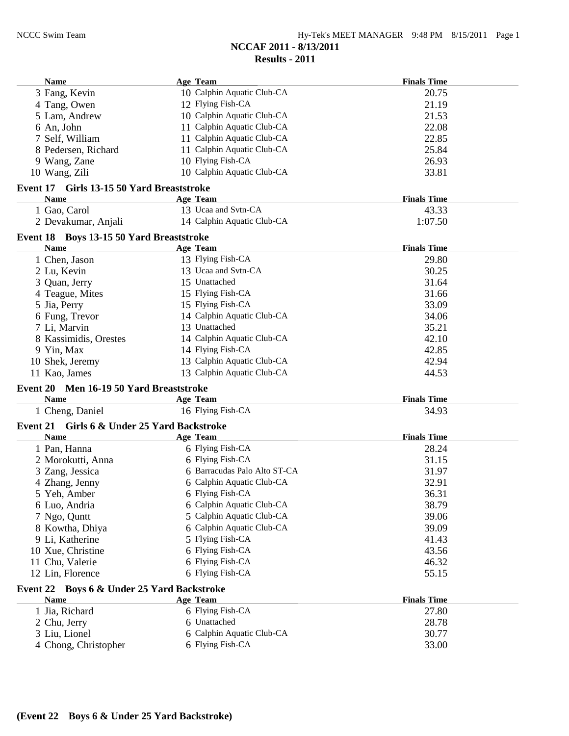| 10 Calphin Aquatic Club-CA<br>3 Fang, Kevin<br>20.75<br>12 Flying Fish-CA<br>21.19<br>4 Tang, Owen<br>5 Lam, Andrew<br>10 Calphin Aquatic Club-CA<br>21.53 |  |
|------------------------------------------------------------------------------------------------------------------------------------------------------------|--|
|                                                                                                                                                            |  |
|                                                                                                                                                            |  |
|                                                                                                                                                            |  |
| 11 Calphin Aquatic Club-CA<br>22.08<br>6 An, John                                                                                                          |  |
| 11 Calphin Aquatic Club-CA<br>22.85<br>7 Self, William                                                                                                     |  |
| 11 Calphin Aquatic Club-CA<br>25.84<br>8 Pedersen, Richard                                                                                                 |  |
| 10 Flying Fish-CA<br>9 Wang, Zane<br>26.93                                                                                                                 |  |
| 10 Calphin Aquatic Club-CA<br>33.81<br>10 Wang, Zili                                                                                                       |  |
| Event 17 Girls 13-15 50 Yard Breaststroke                                                                                                                  |  |
| Age Team<br><b>Finals Time</b><br>Name                                                                                                                     |  |
| 13 Ucaa and Svtn-CA<br>1 Gao, Carol<br>43.33                                                                                                               |  |
| 2 Devakumar, Anjali<br>14 Calphin Aquatic Club-CA<br>1:07.50                                                                                               |  |
|                                                                                                                                                            |  |
| Event 18 Boys 13-15 50 Yard Breaststroke                                                                                                                   |  |
| <b>Name</b><br><b>Finals Time</b><br>Age Team                                                                                                              |  |
| 1 Chen, Jason<br>13 Flying Fish-CA<br>29.80<br>13 Ucaa and Svtn-CA                                                                                         |  |
| 30.25<br>2 Lu, Kevin                                                                                                                                       |  |
| 15 Unattached<br>31.64<br>3 Quan, Jerry                                                                                                                    |  |
| 15 Flying Fish-CA<br>4 Teague, Mites<br>31.66                                                                                                              |  |
| 15 Flying Fish-CA<br>33.09<br>5 Jia, Perry                                                                                                                 |  |
| 14 Calphin Aquatic Club-CA<br>6 Fung, Trevor<br>34.06<br>13 Unattached                                                                                     |  |
| 7 Li, Marvin<br>35.21                                                                                                                                      |  |
|                                                                                                                                                            |  |
| 14 Calphin Aquatic Club-CA<br>42.10<br>8 Kassimidis, Orestes                                                                                               |  |
| 14 Flying Fish-CA<br>9 Yin, Max<br>42.85                                                                                                                   |  |
| 13 Calphin Aquatic Club-CA<br>42.94<br>10 Shek, Jeremy                                                                                                     |  |
| 13 Calphin Aquatic Club-CA<br>11 Kao, James<br>44.53                                                                                                       |  |
| Event 20 Men 16-19 50 Yard Breaststroke                                                                                                                    |  |
| <b>Finals Time</b><br>Name<br><b>Age Team</b>                                                                                                              |  |
| 1 Cheng, Daniel<br>16 Flying Fish-CA<br>34.93                                                                                                              |  |
| Event 21 Girls 6 & Under 25 Yard Backstroke                                                                                                                |  |
| <b>Name</b><br><b>Finals Time</b><br>Age Team                                                                                                              |  |
| 6 Flying Fish-CA<br>1 Pan, Hanna<br>28.24                                                                                                                  |  |
| 6 Flying Fish-CA<br>2 Morokutti, Anna<br>31.15                                                                                                             |  |
| 6 Barracudas Palo Alto ST-CA<br>3 Zang, Jessica<br>31.97                                                                                                   |  |
| 6 Calphin Aquatic Club-CA<br>4 Zhang, Jenny<br>32.91                                                                                                       |  |
| 6 Flying Fish-CA<br>36.31<br>5 Yeh, Amber                                                                                                                  |  |
| 6 Calphin Aquatic Club-CA<br>38.79<br>6 Luo, Andria                                                                                                        |  |
| 5 Calphin Aquatic Club-CA<br>7 Ngo, Quntt<br>39.06                                                                                                         |  |
| 6 Calphin Aquatic Club-CA<br>39.09<br>8 Kowtha, Dhiya                                                                                                      |  |
| 5 Flying Fish-CA<br>9 Li, Katherine<br>41.43                                                                                                               |  |
| 6 Flying Fish-CA<br>43.56<br>10 Xue, Christine                                                                                                             |  |
| 11 Chu, Valerie<br>6 Flying Fish-CA<br>46.32                                                                                                               |  |
| 12 Lin, Florence<br>6 Flying Fish-CA<br>55.15                                                                                                              |  |
|                                                                                                                                                            |  |
| Event 22 Boys 6 & Under 25 Yard Backstroke<br><b>Name</b><br><b>Finals Time</b>                                                                            |  |
| <b>Age Team</b>                                                                                                                                            |  |
| 6 Flying Fish-CA<br>1 Jia, Richard<br>27.80<br>6 Unattached                                                                                                |  |
| 2 Chu, Jerry<br>28.78<br>6 Calphin Aquatic Club-CA<br>3 Liu, Lionel<br>30.77                                                                               |  |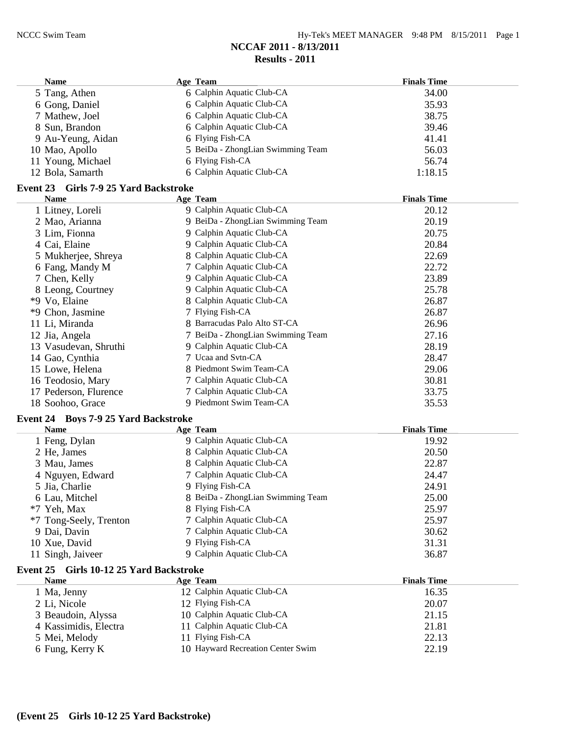| Hy-Tek's MEET MANAGER 9:48 PM 8/15/2011 Page 1 |  |  |  |
|------------------------------------------------|--|--|--|
|------------------------------------------------|--|--|--|

| <b>Name</b>                           | Age Team                                     | <b>Finals Time</b> |
|---------------------------------------|----------------------------------------------|--------------------|
| 5 Tang, Athen                         | 6 Calphin Aquatic Club-CA                    | 34.00              |
| 6 Gong, Daniel                        | 6 Calphin Aquatic Club-CA                    | 35.93              |
| 7 Mathew, Joel                        | 6 Calphin Aquatic Club-CA                    | 38.75              |
| 8 Sun, Brandon                        | 6 Calphin Aquatic Club-CA                    | 39.46              |
| 9 Au-Yeung, Aidan                     | 6 Flying Fish-CA                             | 41.41              |
| 10 Mao, Apollo                        | 5 BeiDa - ZhongLian Swimming Team            | 56.03              |
| 11 Young, Michael                     | 6 Flying Fish-CA                             | 56.74              |
| 12 Bola, Samarth                      | 6 Calphin Aquatic Club-CA                    | 1:18.15            |
| Event 23 Girls 7-9 25 Yard Backstroke |                                              |                    |
| <b>Name</b>                           | Age Team                                     | <b>Finals Time</b> |
| 1 Litney, Loreli                      | 9 Calphin Aquatic Club-CA                    | 20.12              |
| $\sim$ $\frac{1}{2}$                  | $\alpha$ pp $\alpha$ if $\alpha$ if $\alpha$ | 20.10              |

| 1 Litney, Loreli      | 9 Calphin Aquatic Club-CA         | 20.12 |  |
|-----------------------|-----------------------------------|-------|--|
| 2 Mao, Arianna        | 9 BeiDa - ZhongLian Swimming Team | 20.19 |  |
| 3 Lim, Fionna         | 9 Calphin Aquatic Club-CA         | 20.75 |  |
| 4 Cai, Elaine         | 9 Calphin Aquatic Club-CA         | 20.84 |  |
| 5 Mukherjee, Shreya   | 8 Calphin Aquatic Club-CA         | 22.69 |  |
| 6 Fang, Mandy M       | 7 Calphin Aquatic Club-CA         | 22.72 |  |
| 7 Chen, Kelly         | 9 Calphin Aquatic Club-CA         | 23.89 |  |
| 8 Leong, Courtney     | 9 Calphin Aquatic Club-CA         | 25.78 |  |
| *9 Vo, Elaine         | 8 Calphin Aquatic Club-CA         | 26.87 |  |
| *9 Chon, Jasmine      | 7 Flying Fish-CA                  | 26.87 |  |
| 11 Li, Miranda        | 8 Barracudas Palo Alto ST-CA      | 26.96 |  |
| 12 Jia, Angela        | 7 BeiDa - ZhongLian Swimming Team | 27.16 |  |
| 13 Vasudevan, Shruthi | 9 Calphin Aquatic Club-CA         | 28.19 |  |
| 14 Gao, Cynthia       | 7 Ucaa and Svtn-CA                | 28.47 |  |
| 15 Lowe, Helena       | 8 Piedmont Swim Team-CA           | 29.06 |  |
| 16 Teodosio, Mary     | 7 Calphin Aquatic Club-CA         | 30.81 |  |
| 17 Pederson, Flurence | 7 Calphin Aquatic Club-CA         | 33.75 |  |
| 18 Soohoo, Grace      | 9 Piedmont Swim Team-CA           | 35.53 |  |
|                       |                                   |       |  |

#### **Event 24 Boys 7-9 25 Yard Backstroke**

| <b>Name</b>            | Age Team                          | <b>Finals Time</b> |  |
|------------------------|-----------------------------------|--------------------|--|
| 1 Feng, Dylan          | 9 Calphin Aquatic Club-CA         | 19.92              |  |
| 2 He, James            | 8 Calphin Aquatic Club-CA         | 20.50              |  |
| 3 Mau, James           | 8 Calphin Aquatic Club-CA         | 22.87              |  |
| 4 Nguyen, Edward       | 7 Calphin Aquatic Club-CA         | 24.47              |  |
| 5 Jia, Charlie         | 9 Flying Fish-CA                  | 24.91              |  |
| 6 Lau, Mitchel         | 8 BeiDa - ZhongLian Swimming Team | 25.00              |  |
| *7 Yeh, Max            | 8 Flying Fish-CA                  | 25.97              |  |
| *7 Tong-Seely, Trenton | 7 Calphin Aquatic Club-CA         | 25.97              |  |
| 9 Dai, Davin           | 7 Calphin Aquatic Club-CA         | 30.62              |  |
| 10 Xue, David          | 9 Flying Fish-CA                  | 31.31              |  |
| 11 Singh, Jaiveer      | 9 Calphin Aquatic Club-CA         | 36.87              |  |

# **Event 25 Girls 10-12 25 Yard Backstroke**

| <b>Name</b>           | Age Team                          | <b>Finals Time</b> |  |
|-----------------------|-----------------------------------|--------------------|--|
| 1 Ma, Jenny           | 12 Calphin Aquatic Club-CA        | 16.35              |  |
| 2 Li, Nicole          | 12 Flying Fish-CA                 | 20.07              |  |
| 3 Beaudoin, Alyssa    | 10 Calphin Aquatic Club-CA        | 21.15              |  |
| 4 Kassimidis, Electra | 11 Calphin Aquatic Club-CA        | 21.81              |  |
| 5 Mei, Melody         | 11 Flying Fish-CA                 | 22.13              |  |
| 6 Fung, Kerry K       | 10 Hayward Recreation Center Swim | 22.19              |  |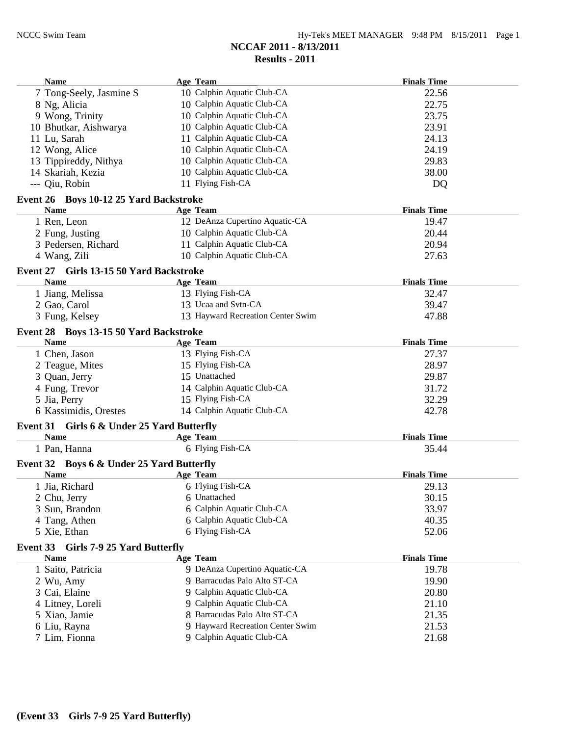| <b>Name</b>                                           | Age Team                          | <b>Finals Time</b> |
|-------------------------------------------------------|-----------------------------------|--------------------|
| 7 Tong-Seely, Jasmine S                               | 10 Calphin Aquatic Club-CA        | 22.56              |
| 8 Ng, Alicia                                          | 10 Calphin Aquatic Club-CA        | 22.75              |
| 9 Wong, Trinity                                       | 10 Calphin Aquatic Club-CA        | 23.75              |
| 10 Bhutkar, Aishwarya                                 | 10 Calphin Aquatic Club-CA        | 23.91              |
| 11 Lu, Sarah                                          | 11 Calphin Aquatic Club-CA        | 24.13              |
| 12 Wong, Alice                                        | 10 Calphin Aquatic Club-CA        | 24.19              |
| 13 Tippireddy, Nithya                                 | 10 Calphin Aquatic Club-CA        | 29.83              |
| 14 Skariah, Kezia                                     | 10 Calphin Aquatic Club-CA        | 38.00              |
| --- Qiu, Robin                                        | 11 Flying Fish-CA                 | DQ                 |
| Event 26 Boys 10-12 25 Yard Backstroke                |                                   |                    |
| <b>Name</b>                                           | <b>Age Team</b>                   | <b>Finals Time</b> |
| 1 Ren, Leon                                           | 12 DeAnza Cupertino Aquatic-CA    | 19.47              |
| 2 Fung, Justing                                       | 10 Calphin Aquatic Club-CA        | 20.44              |
| 3 Pedersen, Richard                                   | 11 Calphin Aquatic Club-CA        | 20.94              |
| 4 Wang, Zili                                          | 10 Calphin Aquatic Club-CA        | 27.63              |
| Event 27 Girls 13-15 50 Yard Backstroke               |                                   |                    |
| <b>Name</b>                                           | <b>Age Team</b>                   | <b>Finals Time</b> |
| 1 Jiang, Melissa                                      | 13 Flying Fish-CA                 | 32.47              |
| 2 Gao, Carol                                          | 13 Ucaa and Svtn-CA               | 39.47              |
| 3 Fung, Kelsey                                        | 13 Hayward Recreation Center Swim | 47.88              |
|                                                       |                                   |                    |
| Event 28 Boys 13-15 50 Yard Backstroke<br><b>Name</b> | <b>Age Team</b>                   | <b>Finals Time</b> |
|                                                       | 13 Flying Fish-CA                 |                    |
| 1 Chen, Jason                                         | 15 Flying Fish-CA                 | 27.37<br>28.97     |
| 2 Teague, Mites                                       | 15 Unattached                     |                    |
| 3 Quan, Jerry                                         |                                   | 29.87              |
| 4 Fung, Trevor                                        | 14 Calphin Aquatic Club-CA        | 31.72              |
| 5 Jia, Perry                                          | 15 Flying Fish-CA                 | 32.29              |
| 6 Kassimidis, Orestes                                 | 14 Calphin Aquatic Club-CA        | 42.78              |
| Event 31 Girls 6 & Under 25 Yard Butterfly            |                                   |                    |
| <b>Name</b>                                           | <b>Age Team</b>                   | <b>Finals Time</b> |
| 1 Pan, Hanna                                          | 6 Flying Fish-CA                  | 35.44              |
| Event 32 Boys 6 & Under 25 Yard Butterfly             |                                   |                    |
| <b>Name</b>                                           | Age Team                          | <b>Finals Time</b> |
| 1 Jia, Richard                                        | 6 Flying Fish-CA                  | 29.13              |
| 2 Chu, Jerry                                          | 6 Unattached                      | 30.15              |
| 3 Sun, Brandon                                        | 6 Calphin Aquatic Club-CA         | 33.97              |
| 4 Tang, Athen                                         | 6 Calphin Aquatic Club-CA         | 40.35              |
| 5 Xie, Ethan                                          | 6 Flying Fish-CA                  | 52.06              |
| Event 33 Girls 7-9 25 Yard Butterfly                  |                                   |                    |
| <b>Name</b>                                           | <b>Age Team</b>                   | <b>Finals Time</b> |
| 1 Saito, Patricia                                     | 9 DeAnza Cupertino Aquatic-CA     | 19.78              |
| 2 Wu, Amy                                             | 9 Barracudas Palo Alto ST-CA      | 19.90              |
| 3 Cai, Elaine                                         | 9 Calphin Aquatic Club-CA         | 20.80              |
| 4 Litney, Loreli                                      | 9 Calphin Aquatic Club-CA         | 21.10              |
| 5 Xiao, Jamie                                         | 8 Barracudas Palo Alto ST-CA      | 21.35              |
| 6 Liu, Rayna                                          | 9 Hayward Recreation Center Swim  | 21.53              |
| 7 Lim, Fionna                                         | 9 Calphin Aquatic Club-CA         | 21.68              |
|                                                       |                                   |                    |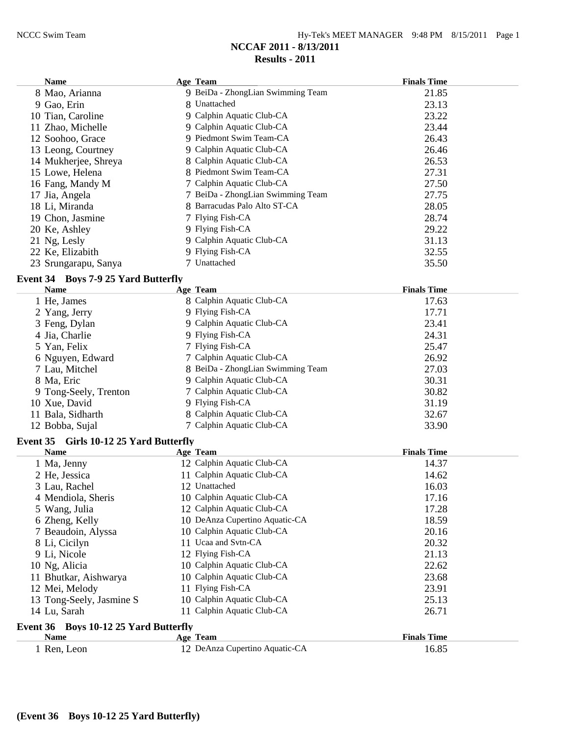| <b>Name</b>              |                                        | <b>Age Team</b>                   | <b>Finals Time</b> |  |
|--------------------------|----------------------------------------|-----------------------------------|--------------------|--|
| 8 Mao, Arianna           |                                        | 9 BeiDa - ZhongLian Swimming Team | 21.85              |  |
| 9 Gao, Erin              |                                        | 8 Unattached                      | 23.13              |  |
| 10 Tian, Caroline        |                                        | 9 Calphin Aquatic Club-CA         | 23.22              |  |
| 11 Zhao, Michelle        |                                        | 9 Calphin Aquatic Club-CA         | 23.44              |  |
| 12 Soohoo, Grace         |                                        | 9 Piedmont Swim Team-CA           | 26.43              |  |
| 13 Leong, Courtney       |                                        | 9 Calphin Aquatic Club-CA         | 26.46              |  |
| 14 Mukherjee, Shreya     |                                        | 8 Calphin Aquatic Club-CA         | 26.53              |  |
| 15 Lowe, Helena          |                                        | 8 Piedmont Swim Team-CA           | 27.31              |  |
| 16 Fang, Mandy M         |                                        | 7 Calphin Aquatic Club-CA         | 27.50              |  |
| 17 Jia, Angela           |                                        | 7 BeiDa - ZhongLian Swimming Team | 27.75              |  |
| 18 Li, Miranda           |                                        | 8 Barracudas Palo Alto ST-CA      | 28.05              |  |
| 19 Chon, Jasmine         |                                        | 7 Flying Fish-CA                  | 28.74              |  |
| 20 Ke, Ashley            |                                        | 9 Flying Fish-CA                  | 29.22              |  |
| 21 Ng, Lesly             |                                        | 9 Calphin Aquatic Club-CA         | 31.13              |  |
| 22 Ke, Elizabith         |                                        | 9 Flying Fish-CA                  | 32.55              |  |
| 23 Srungarapu, Sanya     |                                        | 7 Unattached                      | 35.50              |  |
|                          | Event 34 Boys 7-9 25 Yard Butterfly    |                                   |                    |  |
| <b>Name</b>              |                                        | <b>Age Team</b>                   | <b>Finals Time</b> |  |
| 1 He, James              |                                        | 8 Calphin Aquatic Club-CA         | 17.63              |  |
| 2 Yang, Jerry            |                                        | 9 Flying Fish-CA                  | 17.71              |  |
| 3 Feng, Dylan            |                                        | 9 Calphin Aquatic Club-CA         | 23.41              |  |
| 4 Jia, Charlie           |                                        | 9 Flying Fish-CA                  | 24.31              |  |
| 5 Yan, Felix             |                                        | 7 Flying Fish-CA                  | 25.47              |  |
| 6 Nguyen, Edward         |                                        | 7 Calphin Aquatic Club-CA         | 26.92              |  |
| 7 Lau, Mitchel           |                                        | 8 BeiDa - ZhongLian Swimming Team | 27.03              |  |
| 8 Ma, Eric               |                                        | 9 Calphin Aquatic Club-CA         | 30.31              |  |
| 9 Tong-Seely, Trenton    |                                        | 7 Calphin Aquatic Club-CA         | 30.82              |  |
| 10 Xue, David            |                                        | 9 Flying Fish-CA                  | 31.19              |  |
| 11 Bala, Sidharth        |                                        | 8 Calphin Aquatic Club-CA         | 32.67              |  |
| 12 Bobba, Sujal          |                                        | 7 Calphin Aquatic Club-CA         | 33.90              |  |
|                          | Event 35 Girls 10-12 25 Yard Butterfly |                                   |                    |  |
| <b>Name</b>              |                                        | Age Team                          | <b>Finals Time</b> |  |
| 1 Ma, Jenny              |                                        | 12 Calphin Aquatic Club-CA        | 14.37              |  |
| 2 He, Jessica            |                                        | 11 Calphin Aquatic Club-CA        | 14.62              |  |
| 3 Lau, Rachel            |                                        | 12 Unattached                     | 16.03              |  |
| 4 Mendiola, Sheris       |                                        | 10 Calphin Aquatic Club-CA        | 17.16              |  |
| 5 Wang, Julia            |                                        | 12 Calphin Aquatic Club-CA        | 17.28              |  |
| 6 Zheng, Kelly           |                                        | 10 DeAnza Cupertino Aquatic-CA    | 18.59              |  |
| 7 Beaudoin, Alyssa       |                                        | 10 Calphin Aquatic Club-CA        | 20.16              |  |
| 8 Li, Cicilyn            |                                        | 11 Ucaa and Svtn-CA               | 20.32              |  |
| 9 Li, Nicole             |                                        | 12 Flying Fish-CA                 | 21.13              |  |
| 10 Ng, Alicia            |                                        | 10 Calphin Aquatic Club-CA        | 22.62              |  |
| 11 Bhutkar, Aishwarya    |                                        | 10 Calphin Aquatic Club-CA        | 23.68              |  |
| 12 Mei, Melody           |                                        | 11 Flying Fish-CA                 | 23.91              |  |
| 13 Tong-Seely, Jasmine S |                                        | 10 Calphin Aquatic Club-CA        | 25.13              |  |
| 14 Lu, Sarah             |                                        | 11 Calphin Aquatic Club-CA        | 26.71              |  |
|                          | Event 36 Boys 10-12 25 Yard Butterfly  |                                   |                    |  |
| <b>Name</b>              |                                        | Age Team                          | <b>Finals Time</b> |  |
| 1 Ren, Leon              |                                        | 12 DeAnza Cupertino Aquatic-CA    | 16.85              |  |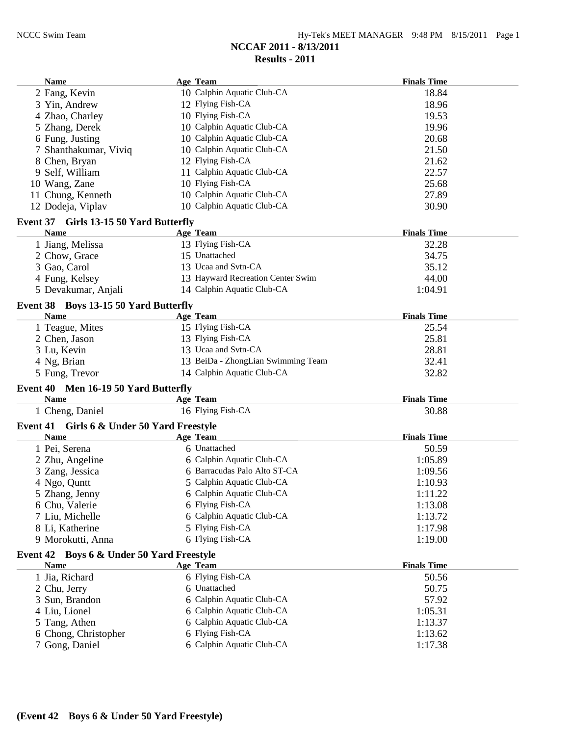| <b>Name</b>                                | Age Team                           | <b>Finals Time</b> |
|--------------------------------------------|------------------------------------|--------------------|
| 2 Fang, Kevin                              | 10 Calphin Aquatic Club-CA         | 18.84              |
| 3 Yin, Andrew                              | 12 Flying Fish-CA                  | 18.96              |
| 4 Zhao, Charley                            | 10 Flying Fish-CA                  | 19.53              |
| 5 Zhang, Derek                             | 10 Calphin Aquatic Club-CA         | 19.96              |
| 6 Fung, Justing                            | 10 Calphin Aquatic Club-CA         | 20.68              |
| 7 Shanthakumar, Viviq                      | 10 Calphin Aquatic Club-CA         | 21.50              |
| 8 Chen, Bryan                              | 12 Flying Fish-CA                  | 21.62              |
| 9 Self, William                            | 11 Calphin Aquatic Club-CA         | 22.57              |
| 10 Wang, Zane                              | 10 Flying Fish-CA                  | 25.68              |
| 11 Chung, Kenneth                          | 10 Calphin Aquatic Club-CA         | 27.89              |
| 12 Dodeja, Viplav                          | 10 Calphin Aquatic Club-CA         | 30.90              |
| Event 37 Girls 13-15 50 Yard Butterfly     |                                    |                    |
| <b>Name</b>                                | <b>Age Team</b>                    | <b>Finals Time</b> |
| 1 Jiang, Melissa                           | 13 Flying Fish-CA                  | 32.28              |
| 2 Chow, Grace                              | 15 Unattached                      | 34.75              |
| 3 Gao, Carol                               | 13 Ucaa and Svtn-CA                | 35.12              |
| 4 Fung, Kelsey                             | 13 Hayward Recreation Center Swim  | 44.00              |
| 5 Devakumar, Anjali                        | 14 Calphin Aquatic Club-CA         | 1:04.91            |
|                                            |                                    |                    |
| Event 38 Boys 13-15 50 Yard Butterfly      |                                    |                    |
| <b>Name</b>                                | Age Team                           | <b>Finals Time</b> |
| 1 Teague, Mites                            | 15 Flying Fish-CA                  | 25.54              |
| 2 Chen, Jason                              | 13 Flying Fish-CA                  | 25.81              |
| 3 Lu, Kevin                                | 13 Ucaa and Svtn-CA                | 28.81              |
| 4 Ng, Brian                                | 13 BeiDa - ZhongLian Swimming Team | 32.41              |
| 5 Fung, Trevor                             | 14 Calphin Aquatic Club-CA         | 32.82              |
| Event 40 Men 16-19 50 Yard Butterfly       |                                    |                    |
| <b>Name</b>                                | Age Team                           | <b>Finals Time</b> |
| 1 Cheng, Daniel                            | 16 Flying Fish-CA                  | 30.88              |
| Event 41 Girls 6 & Under 50 Yard Freestyle |                                    |                    |
| <b>Name</b>                                | <b>Age Team</b>                    | <b>Finals Time</b> |
| 1 Pei, Serena                              | 6 Unattached                       | 50.59              |
| 2 Zhu, Angeline                            | 6 Calphin Aquatic Club-CA          | 1:05.89            |
| 3 Zang, Jessica                            | 6 Barracudas Palo Alto ST-CA       | 1:09.56            |
| 4 Ngo, Quntt                               | 5 Calphin Aquatic Club-CA          | 1:10.93            |
| 5 Zhang, Jenny                             | 6 Calphin Aquatic Club-CA          | 1:11.22            |
| 6 Chu, Valerie                             | 6 Flying Fish-CA                   | 1:13.08            |
| 7 Liu, Michelle                            | 6 Calphin Aquatic Club-CA          | 1:13.72            |
| 8 Li, Katherine                            | 5 Flying Fish-CA                   | 1:17.98            |
| 9 Morokutti, Anna                          | 6 Flying Fish-CA                   | 1:19.00            |
| Event 42 Boys 6 & Under 50 Yard Freestyle  |                                    |                    |
| <b>Name</b>                                | Age Team                           | <b>Finals Time</b> |
| 1 Jia, Richard                             | 6 Flying Fish-CA                   | 50.56              |
| 2 Chu, Jerry                               | 6 Unattached                       | 50.75              |
| 3 Sun, Brandon                             | 6 Calphin Aquatic Club-CA          | 57.92              |
| 4 Liu, Lionel                              | 6 Calphin Aquatic Club-CA          | 1:05.31            |
| 5 Tang, Athen                              | 6 Calphin Aquatic Club-CA          | 1:13.37            |
| 6 Chong, Christopher                       | 6 Flying Fish-CA                   | 1:13.62            |
| 7 Gong, Daniel                             | 6 Calphin Aquatic Club-CA          | 1:17.38            |
|                                            |                                    |                    |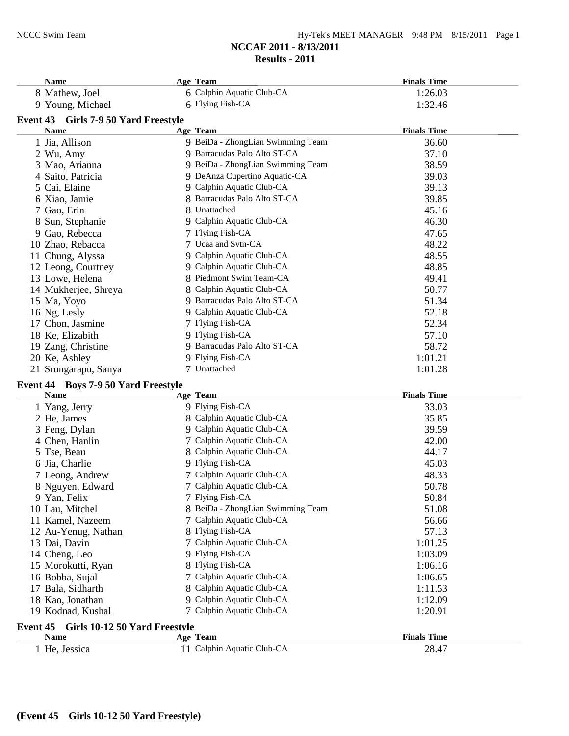| Hy-Tek's MEET MANAGER 9:48 PM 8/15/2011 Page 1 |  |  |  |
|------------------------------------------------|--|--|--|
|------------------------------------------------|--|--|--|

| <b>Name</b>                                | Age Team                                             | <b>Finals Time</b> |
|--------------------------------------------|------------------------------------------------------|--------------------|
| 8 Mathew, Joel                             | 6 Calphin Aquatic Club-CA                            | 1:26.03            |
| 9 Young, Michael                           | 6 Flying Fish-CA                                     | 1:32.46            |
| Event 43 Girls 7-9 50 Yard Freestyle       |                                                      |                    |
| <b>Name</b>                                | Age Team                                             | <b>Finals Time</b> |
| 1 Jia, Allison                             | 9 BeiDa - ZhongLian Swimming Team                    | 36.60              |
| 2 Wu, Amy                                  | 9 Barracudas Palo Alto ST-CA                         | 37.10              |
| 3 Mao, Arianna                             | 9 BeiDa - ZhongLian Swimming Team                    | 38.59              |
| 4 Saito, Patricia                          | 9 DeAnza Cupertino Aquatic-CA                        | 39.03              |
| 5 Cai, Elaine                              | 9 Calphin Aquatic Club-CA                            | 39.13              |
| 6 Xiao, Jamie                              | 8 Barracudas Palo Alto ST-CA                         | 39.85              |
| 7 Gao, Erin                                | 8 Unattached                                         | 45.16              |
| 8 Sun, Stephanie                           | 9 Calphin Aquatic Club-CA                            | 46.30              |
| 9 Gao, Rebecca                             | 7 Flying Fish-CA                                     | 47.65              |
| 10 Zhao, Rebacca                           | 7 Ucaa and Svtn-CA                                   | 48.22              |
|                                            | 9 Calphin Aquatic Club-CA                            | 48.55              |
| 11 Chung, Alyssa                           |                                                      |                    |
| 12 Leong, Courtney                         | 9 Calphin Aquatic Club-CA<br>8 Piedmont Swim Team-CA | 48.85              |
| 13 Lowe, Helena                            |                                                      | 49.41              |
| 14 Mukherjee, Shreya                       | 8 Calphin Aquatic Club-CA                            | 50.77              |
| 15 Ma, Yoyo                                | 9 Barracudas Palo Alto ST-CA                         | 51.34              |
| 16 Ng, Lesly                               | 9 Calphin Aquatic Club-CA                            | 52.18              |
| 17 Chon, Jasmine                           | 7 Flying Fish-CA                                     | 52.34              |
| 18 Ke, Elizabith                           | 9 Flying Fish-CA                                     | 57.10              |
| 19 Zang, Christine                         | 9 Barracudas Palo Alto ST-CA                         | 58.72              |
| 20 Ke, Ashley                              | 9 Flying Fish-CA                                     | 1:01.21            |
| 21 Srungarapu, Sanya                       | 7 Unattached                                         | 1:01.28            |
| <b>Event 44 Boys 7-9 50 Yard Freestyle</b> |                                                      |                    |
| <b>Name</b>                                | Age Team                                             | <b>Finals Time</b> |
| 1 Yang, Jerry                              | 9 Flying Fish-CA                                     | 33.03              |
| 2 He, James                                | 8 Calphin Aquatic Club-CA                            | 35.85              |
| 3 Feng, Dylan                              | 9 Calphin Aquatic Club-CA                            | 39.59              |
| 4 Chen, Hanlin                             | 7 Calphin Aquatic Club-CA                            | 42.00              |
| 5 Tse, Beau                                | 8 Calphin Aquatic Club-CA                            | 44.17              |
| 6 Jia, Charlie                             | 9 Flying Fish-CA                                     | 45.03              |
| 7 Leong, Andrew                            | 7 Calphin Aquatic Club-CA                            | 48.33              |
| 8 Nguyen, Edward                           | 7 Calphin Aquatic Club-CA                            | 50.78              |
| 9 Yan, Felix                               | 7 Flying Fish-CA                                     | 50.84              |
| 10 Lau, Mitchel                            | 8 BeiDa - ZhongLian Swimming Team                    | 51.08              |
| 11 Kamel, Nazeem                           | 7 Calphin Aquatic Club-CA                            | 56.66              |
| 12 Au-Yenug, Nathan                        | 8 Flying Fish-CA                                     | 57.13              |
| 13 Dai, Davin                              | 7 Calphin Aquatic Club-CA                            | 1:01.25            |
| 14 Cheng, Leo                              | 9 Flying Fish-CA                                     | 1:03.09            |
| 15 Morokutti, Ryan                         | 8 Flying Fish-CA                                     | 1:06.16            |
| 16 Bobba, Sujal                            | 7 Calphin Aquatic Club-CA                            | 1:06.65            |
| 17 Bala, Sidharth                          | 8 Calphin Aquatic Club-CA                            | 1:11.53            |
| 18 Kao, Jonathan                           | 9 Calphin Aquatic Club-CA                            | 1:12.09            |
| 19 Kodnad, Kushal                          | 7 Calphin Aquatic Club-CA                            | 1:20.91            |
|                                            |                                                      |                    |
| Girls 10-12 50 Yard Freestyle<br>Event 45  |                                                      |                    |
| <b>Name</b>                                | Age Team                                             | <b>Finals Time</b> |
| 1 He, Jessica                              | 11 Calphin Aquatic Club-CA                           | 28.47              |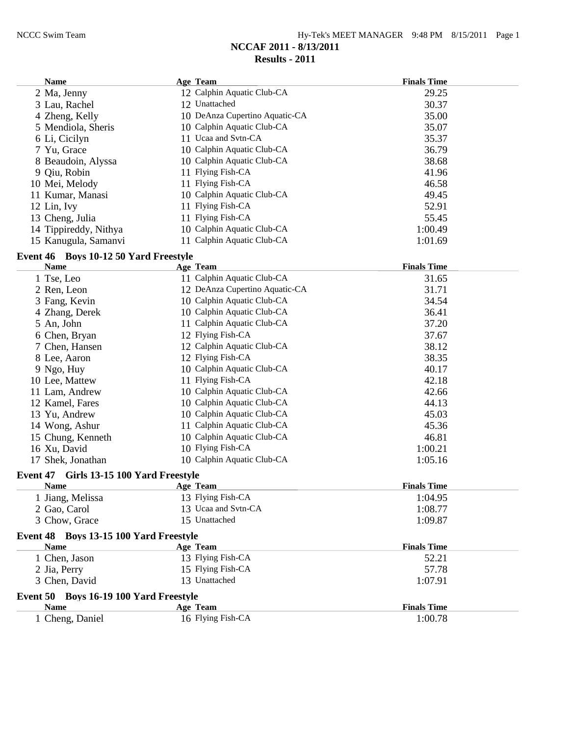| 12 Calphin Aquatic Club-CA<br>29.25<br>2 Ma, Jenny<br>12 Unattached<br>3 Lau, Rachel<br>30.37<br>10 DeAnza Cupertino Aquatic-CA<br>35.00<br>4 Zheng, Kelly<br>10 Calphin Aquatic Club-CA<br>5 Mendiola, Sheris<br>35.07<br>11 Ucaa and Svtn-CA<br>35.37<br>6 Li, Cicilyn<br>10 Calphin Aquatic Club-CA<br>36.79<br>7 Yu, Grace<br>8 Beaudoin, Alyssa<br>10 Calphin Aquatic Club-CA<br>38.68<br>9 Qiu, Robin<br>11 Flying Fish-CA<br>41.96<br>11 Flying Fish-CA<br>10 Mei, Melody<br>46.58<br>10 Calphin Aquatic Club-CA<br>11 Kumar, Manasi<br>49.45<br>52.91<br>12 Lin, Ivy<br>11 Flying Fish-CA<br>11 Flying Fish-CA<br>13 Cheng, Julia<br>55.45<br>10 Calphin Aquatic Club-CA<br>14 Tippireddy, Nithya<br>1:00.49<br>11 Calphin Aquatic Club-CA<br>15 Kanugula, Samanvi<br>1:01.69<br>Event 46 Boys 10-12 50 Yard Freestyle<br><b>Name</b><br><b>Age Team</b><br><b>Finals Time</b><br>11 Calphin Aquatic Club-CA<br>1 Tse, Leo<br>31.65<br>2 Ren, Leon<br>12 DeAnza Cupertino Aquatic-CA<br>31.71<br>10 Calphin Aquatic Club-CA<br>34.54<br>3 Fang, Kevin<br>10 Calphin Aquatic Club-CA<br>4 Zhang, Derek<br>36.41<br>11 Calphin Aquatic Club-CA<br>37.20<br>5 An, John<br>12 Flying Fish-CA<br>6 Chen, Bryan<br>37.67<br>12 Calphin Aquatic Club-CA<br>7 Chen, Hansen<br>38.12<br>12 Flying Fish-CA<br>38.35<br>8 Lee, Aaron<br>10 Calphin Aquatic Club-CA<br>40.17<br>9 Ngo, Huy<br>11 Flying Fish-CA<br>42.18<br>10 Lee, Mattew<br>10 Calphin Aquatic Club-CA<br>42.66<br>11 Lam, Andrew<br>10 Calphin Aquatic Club-CA<br>12 Kamel, Fares<br>44.13<br>10 Calphin Aquatic Club-CA<br>45.03<br>13 Yu, Andrew<br>11 Calphin Aquatic Club-CA<br>45.36<br>14 Wong, Ashur<br>10 Calphin Aquatic Club-CA<br>15 Chung, Kenneth<br>46.81<br>10 Flying Fish-CA<br>16 Xu, David<br>1:00.21<br>10 Calphin Aquatic Club-CA<br>1:05.16<br>17 Shek, Jonathan<br>Event 47 Girls 13-15 100 Yard Freestyle<br><b>Finals Time</b><br><b>Name</b><br><b>Age Team</b><br>13 Flying Fish-CA<br>1 Jiang, Melissa<br>1:04.95<br>13 Ucaa and Svtn-CA<br>2 Gao, Carol<br>1:08.77<br>15 Unattached<br>3 Chow, Grace<br>1:09.87<br>Event 48 Boys 13-15 100 Yard Freestyle<br><b>Name</b><br>Age Team<br><b>Finals Time</b><br>13 Flying Fish-CA<br>1 Chen, Jason<br>52.21<br>15 Flying Fish-CA<br>2 Jia, Perry<br>57.78<br>3 Chen, David<br>13 Unattached<br>1:07.91<br>Event 50 Boys 16-19 100 Yard Freestyle<br><b>Finals Time</b><br><b>Name</b><br>Age Team<br>1 Cheng, Daniel<br>16 Flying Fish-CA<br>1:00.78 | <b>Name</b> | Age Team | <b>Finals Time</b> |
|-----------------------------------------------------------------------------------------------------------------------------------------------------------------------------------------------------------------------------------------------------------------------------------------------------------------------------------------------------------------------------------------------------------------------------------------------------------------------------------------------------------------------------------------------------------------------------------------------------------------------------------------------------------------------------------------------------------------------------------------------------------------------------------------------------------------------------------------------------------------------------------------------------------------------------------------------------------------------------------------------------------------------------------------------------------------------------------------------------------------------------------------------------------------------------------------------------------------------------------------------------------------------------------------------------------------------------------------------------------------------------------------------------------------------------------------------------------------------------------------------------------------------------------------------------------------------------------------------------------------------------------------------------------------------------------------------------------------------------------------------------------------------------------------------------------------------------------------------------------------------------------------------------------------------------------------------------------------------------------------------------------------------------------------------------------------------------------------------------------------------------------------------------------------------------------------------------------------------------------------------------------------------------------------------------------------------------------------------------------------------------------------------------------------------------------------------------------------------------------------------|-------------|----------|--------------------|
|                                                                                                                                                                                                                                                                                                                                                                                                                                                                                                                                                                                                                                                                                                                                                                                                                                                                                                                                                                                                                                                                                                                                                                                                                                                                                                                                                                                                                                                                                                                                                                                                                                                                                                                                                                                                                                                                                                                                                                                                                                                                                                                                                                                                                                                                                                                                                                                                                                                                                               |             |          |                    |
|                                                                                                                                                                                                                                                                                                                                                                                                                                                                                                                                                                                                                                                                                                                                                                                                                                                                                                                                                                                                                                                                                                                                                                                                                                                                                                                                                                                                                                                                                                                                                                                                                                                                                                                                                                                                                                                                                                                                                                                                                                                                                                                                                                                                                                                                                                                                                                                                                                                                                               |             |          |                    |
|                                                                                                                                                                                                                                                                                                                                                                                                                                                                                                                                                                                                                                                                                                                                                                                                                                                                                                                                                                                                                                                                                                                                                                                                                                                                                                                                                                                                                                                                                                                                                                                                                                                                                                                                                                                                                                                                                                                                                                                                                                                                                                                                                                                                                                                                                                                                                                                                                                                                                               |             |          |                    |
|                                                                                                                                                                                                                                                                                                                                                                                                                                                                                                                                                                                                                                                                                                                                                                                                                                                                                                                                                                                                                                                                                                                                                                                                                                                                                                                                                                                                                                                                                                                                                                                                                                                                                                                                                                                                                                                                                                                                                                                                                                                                                                                                                                                                                                                                                                                                                                                                                                                                                               |             |          |                    |
|                                                                                                                                                                                                                                                                                                                                                                                                                                                                                                                                                                                                                                                                                                                                                                                                                                                                                                                                                                                                                                                                                                                                                                                                                                                                                                                                                                                                                                                                                                                                                                                                                                                                                                                                                                                                                                                                                                                                                                                                                                                                                                                                                                                                                                                                                                                                                                                                                                                                                               |             |          |                    |
|                                                                                                                                                                                                                                                                                                                                                                                                                                                                                                                                                                                                                                                                                                                                                                                                                                                                                                                                                                                                                                                                                                                                                                                                                                                                                                                                                                                                                                                                                                                                                                                                                                                                                                                                                                                                                                                                                                                                                                                                                                                                                                                                                                                                                                                                                                                                                                                                                                                                                               |             |          |                    |
|                                                                                                                                                                                                                                                                                                                                                                                                                                                                                                                                                                                                                                                                                                                                                                                                                                                                                                                                                                                                                                                                                                                                                                                                                                                                                                                                                                                                                                                                                                                                                                                                                                                                                                                                                                                                                                                                                                                                                                                                                                                                                                                                                                                                                                                                                                                                                                                                                                                                                               |             |          |                    |
|                                                                                                                                                                                                                                                                                                                                                                                                                                                                                                                                                                                                                                                                                                                                                                                                                                                                                                                                                                                                                                                                                                                                                                                                                                                                                                                                                                                                                                                                                                                                                                                                                                                                                                                                                                                                                                                                                                                                                                                                                                                                                                                                                                                                                                                                                                                                                                                                                                                                                               |             |          |                    |
|                                                                                                                                                                                                                                                                                                                                                                                                                                                                                                                                                                                                                                                                                                                                                                                                                                                                                                                                                                                                                                                                                                                                                                                                                                                                                                                                                                                                                                                                                                                                                                                                                                                                                                                                                                                                                                                                                                                                                                                                                                                                                                                                                                                                                                                                                                                                                                                                                                                                                               |             |          |                    |
|                                                                                                                                                                                                                                                                                                                                                                                                                                                                                                                                                                                                                                                                                                                                                                                                                                                                                                                                                                                                                                                                                                                                                                                                                                                                                                                                                                                                                                                                                                                                                                                                                                                                                                                                                                                                                                                                                                                                                                                                                                                                                                                                                                                                                                                                                                                                                                                                                                                                                               |             |          |                    |
|                                                                                                                                                                                                                                                                                                                                                                                                                                                                                                                                                                                                                                                                                                                                                                                                                                                                                                                                                                                                                                                                                                                                                                                                                                                                                                                                                                                                                                                                                                                                                                                                                                                                                                                                                                                                                                                                                                                                                                                                                                                                                                                                                                                                                                                                                                                                                                                                                                                                                               |             |          |                    |
|                                                                                                                                                                                                                                                                                                                                                                                                                                                                                                                                                                                                                                                                                                                                                                                                                                                                                                                                                                                                                                                                                                                                                                                                                                                                                                                                                                                                                                                                                                                                                                                                                                                                                                                                                                                                                                                                                                                                                                                                                                                                                                                                                                                                                                                                                                                                                                                                                                                                                               |             |          |                    |
|                                                                                                                                                                                                                                                                                                                                                                                                                                                                                                                                                                                                                                                                                                                                                                                                                                                                                                                                                                                                                                                                                                                                                                                                                                                                                                                                                                                                                                                                                                                                                                                                                                                                                                                                                                                                                                                                                                                                                                                                                                                                                                                                                                                                                                                                                                                                                                                                                                                                                               |             |          |                    |
|                                                                                                                                                                                                                                                                                                                                                                                                                                                                                                                                                                                                                                                                                                                                                                                                                                                                                                                                                                                                                                                                                                                                                                                                                                                                                                                                                                                                                                                                                                                                                                                                                                                                                                                                                                                                                                                                                                                                                                                                                                                                                                                                                                                                                                                                                                                                                                                                                                                                                               |             |          |                    |
|                                                                                                                                                                                                                                                                                                                                                                                                                                                                                                                                                                                                                                                                                                                                                                                                                                                                                                                                                                                                                                                                                                                                                                                                                                                                                                                                                                                                                                                                                                                                                                                                                                                                                                                                                                                                                                                                                                                                                                                                                                                                                                                                                                                                                                                                                                                                                                                                                                                                                               |             |          |                    |
|                                                                                                                                                                                                                                                                                                                                                                                                                                                                                                                                                                                                                                                                                                                                                                                                                                                                                                                                                                                                                                                                                                                                                                                                                                                                                                                                                                                                                                                                                                                                                                                                                                                                                                                                                                                                                                                                                                                                                                                                                                                                                                                                                                                                                                                                                                                                                                                                                                                                                               |             |          |                    |
|                                                                                                                                                                                                                                                                                                                                                                                                                                                                                                                                                                                                                                                                                                                                                                                                                                                                                                                                                                                                                                                                                                                                                                                                                                                                                                                                                                                                                                                                                                                                                                                                                                                                                                                                                                                                                                                                                                                                                                                                                                                                                                                                                                                                                                                                                                                                                                                                                                                                                               |             |          |                    |
|                                                                                                                                                                                                                                                                                                                                                                                                                                                                                                                                                                                                                                                                                                                                                                                                                                                                                                                                                                                                                                                                                                                                                                                                                                                                                                                                                                                                                                                                                                                                                                                                                                                                                                                                                                                                                                                                                                                                                                                                                                                                                                                                                                                                                                                                                                                                                                                                                                                                                               |             |          |                    |
|                                                                                                                                                                                                                                                                                                                                                                                                                                                                                                                                                                                                                                                                                                                                                                                                                                                                                                                                                                                                                                                                                                                                                                                                                                                                                                                                                                                                                                                                                                                                                                                                                                                                                                                                                                                                                                                                                                                                                                                                                                                                                                                                                                                                                                                                                                                                                                                                                                                                                               |             |          |                    |
|                                                                                                                                                                                                                                                                                                                                                                                                                                                                                                                                                                                                                                                                                                                                                                                                                                                                                                                                                                                                                                                                                                                                                                                                                                                                                                                                                                                                                                                                                                                                                                                                                                                                                                                                                                                                                                                                                                                                                                                                                                                                                                                                                                                                                                                                                                                                                                                                                                                                                               |             |          |                    |
|                                                                                                                                                                                                                                                                                                                                                                                                                                                                                                                                                                                                                                                                                                                                                                                                                                                                                                                                                                                                                                                                                                                                                                                                                                                                                                                                                                                                                                                                                                                                                                                                                                                                                                                                                                                                                                                                                                                                                                                                                                                                                                                                                                                                                                                                                                                                                                                                                                                                                               |             |          |                    |
|                                                                                                                                                                                                                                                                                                                                                                                                                                                                                                                                                                                                                                                                                                                                                                                                                                                                                                                                                                                                                                                                                                                                                                                                                                                                                                                                                                                                                                                                                                                                                                                                                                                                                                                                                                                                                                                                                                                                                                                                                                                                                                                                                                                                                                                                                                                                                                                                                                                                                               |             |          |                    |
|                                                                                                                                                                                                                                                                                                                                                                                                                                                                                                                                                                                                                                                                                                                                                                                                                                                                                                                                                                                                                                                                                                                                                                                                                                                                                                                                                                                                                                                                                                                                                                                                                                                                                                                                                                                                                                                                                                                                                                                                                                                                                                                                                                                                                                                                                                                                                                                                                                                                                               |             |          |                    |
|                                                                                                                                                                                                                                                                                                                                                                                                                                                                                                                                                                                                                                                                                                                                                                                                                                                                                                                                                                                                                                                                                                                                                                                                                                                                                                                                                                                                                                                                                                                                                                                                                                                                                                                                                                                                                                                                                                                                                                                                                                                                                                                                                                                                                                                                                                                                                                                                                                                                                               |             |          |                    |
|                                                                                                                                                                                                                                                                                                                                                                                                                                                                                                                                                                                                                                                                                                                                                                                                                                                                                                                                                                                                                                                                                                                                                                                                                                                                                                                                                                                                                                                                                                                                                                                                                                                                                                                                                                                                                                                                                                                                                                                                                                                                                                                                                                                                                                                                                                                                                                                                                                                                                               |             |          |                    |
|                                                                                                                                                                                                                                                                                                                                                                                                                                                                                                                                                                                                                                                                                                                                                                                                                                                                                                                                                                                                                                                                                                                                                                                                                                                                                                                                                                                                                                                                                                                                                                                                                                                                                                                                                                                                                                                                                                                                                                                                                                                                                                                                                                                                                                                                                                                                                                                                                                                                                               |             |          |                    |
|                                                                                                                                                                                                                                                                                                                                                                                                                                                                                                                                                                                                                                                                                                                                                                                                                                                                                                                                                                                                                                                                                                                                                                                                                                                                                                                                                                                                                                                                                                                                                                                                                                                                                                                                                                                                                                                                                                                                                                                                                                                                                                                                                                                                                                                                                                                                                                                                                                                                                               |             |          |                    |
|                                                                                                                                                                                                                                                                                                                                                                                                                                                                                                                                                                                                                                                                                                                                                                                                                                                                                                                                                                                                                                                                                                                                                                                                                                                                                                                                                                                                                                                                                                                                                                                                                                                                                                                                                                                                                                                                                                                                                                                                                                                                                                                                                                                                                                                                                                                                                                                                                                                                                               |             |          |                    |
|                                                                                                                                                                                                                                                                                                                                                                                                                                                                                                                                                                                                                                                                                                                                                                                                                                                                                                                                                                                                                                                                                                                                                                                                                                                                                                                                                                                                                                                                                                                                                                                                                                                                                                                                                                                                                                                                                                                                                                                                                                                                                                                                                                                                                                                                                                                                                                                                                                                                                               |             |          |                    |
|                                                                                                                                                                                                                                                                                                                                                                                                                                                                                                                                                                                                                                                                                                                                                                                                                                                                                                                                                                                                                                                                                                                                                                                                                                                                                                                                                                                                                                                                                                                                                                                                                                                                                                                                                                                                                                                                                                                                                                                                                                                                                                                                                                                                                                                                                                                                                                                                                                                                                               |             |          |                    |
|                                                                                                                                                                                                                                                                                                                                                                                                                                                                                                                                                                                                                                                                                                                                                                                                                                                                                                                                                                                                                                                                                                                                                                                                                                                                                                                                                                                                                                                                                                                                                                                                                                                                                                                                                                                                                                                                                                                                                                                                                                                                                                                                                                                                                                                                                                                                                                                                                                                                                               |             |          |                    |
|                                                                                                                                                                                                                                                                                                                                                                                                                                                                                                                                                                                                                                                                                                                                                                                                                                                                                                                                                                                                                                                                                                                                                                                                                                                                                                                                                                                                                                                                                                                                                                                                                                                                                                                                                                                                                                                                                                                                                                                                                                                                                                                                                                                                                                                                                                                                                                                                                                                                                               |             |          |                    |
|                                                                                                                                                                                                                                                                                                                                                                                                                                                                                                                                                                                                                                                                                                                                                                                                                                                                                                                                                                                                                                                                                                                                                                                                                                                                                                                                                                                                                                                                                                                                                                                                                                                                                                                                                                                                                                                                                                                                                                                                                                                                                                                                                                                                                                                                                                                                                                                                                                                                                               |             |          |                    |
|                                                                                                                                                                                                                                                                                                                                                                                                                                                                                                                                                                                                                                                                                                                                                                                                                                                                                                                                                                                                                                                                                                                                                                                                                                                                                                                                                                                                                                                                                                                                                                                                                                                                                                                                                                                                                                                                                                                                                                                                                                                                                                                                                                                                                                                                                                                                                                                                                                                                                               |             |          |                    |
|                                                                                                                                                                                                                                                                                                                                                                                                                                                                                                                                                                                                                                                                                                                                                                                                                                                                                                                                                                                                                                                                                                                                                                                                                                                                                                                                                                                                                                                                                                                                                                                                                                                                                                                                                                                                                                                                                                                                                                                                                                                                                                                                                                                                                                                                                                                                                                                                                                                                                               |             |          |                    |
|                                                                                                                                                                                                                                                                                                                                                                                                                                                                                                                                                                                                                                                                                                                                                                                                                                                                                                                                                                                                                                                                                                                                                                                                                                                                                                                                                                                                                                                                                                                                                                                                                                                                                                                                                                                                                                                                                                                                                                                                                                                                                                                                                                                                                                                                                                                                                                                                                                                                                               |             |          |                    |
|                                                                                                                                                                                                                                                                                                                                                                                                                                                                                                                                                                                                                                                                                                                                                                                                                                                                                                                                                                                                                                                                                                                                                                                                                                                                                                                                                                                                                                                                                                                                                                                                                                                                                                                                                                                                                                                                                                                                                                                                                                                                                                                                                                                                                                                                                                                                                                                                                                                                                               |             |          |                    |
|                                                                                                                                                                                                                                                                                                                                                                                                                                                                                                                                                                                                                                                                                                                                                                                                                                                                                                                                                                                                                                                                                                                                                                                                                                                                                                                                                                                                                                                                                                                                                                                                                                                                                                                                                                                                                                                                                                                                                                                                                                                                                                                                                                                                                                                                                                                                                                                                                                                                                               |             |          |                    |
|                                                                                                                                                                                                                                                                                                                                                                                                                                                                                                                                                                                                                                                                                                                                                                                                                                                                                                                                                                                                                                                                                                                                                                                                                                                                                                                                                                                                                                                                                                                                                                                                                                                                                                                                                                                                                                                                                                                                                                                                                                                                                                                                                                                                                                                                                                                                                                                                                                                                                               |             |          |                    |
|                                                                                                                                                                                                                                                                                                                                                                                                                                                                                                                                                                                                                                                                                                                                                                                                                                                                                                                                                                                                                                                                                                                                                                                                                                                                                                                                                                                                                                                                                                                                                                                                                                                                                                                                                                                                                                                                                                                                                                                                                                                                                                                                                                                                                                                                                                                                                                                                                                                                                               |             |          |                    |
|                                                                                                                                                                                                                                                                                                                                                                                                                                                                                                                                                                                                                                                                                                                                                                                                                                                                                                                                                                                                                                                                                                                                                                                                                                                                                                                                                                                                                                                                                                                                                                                                                                                                                                                                                                                                                                                                                                                                                                                                                                                                                                                                                                                                                                                                                                                                                                                                                                                                                               |             |          |                    |
|                                                                                                                                                                                                                                                                                                                                                                                                                                                                                                                                                                                                                                                                                                                                                                                                                                                                                                                                                                                                                                                                                                                                                                                                                                                                                                                                                                                                                                                                                                                                                                                                                                                                                                                                                                                                                                                                                                                                                                                                                                                                                                                                                                                                                                                                                                                                                                                                                                                                                               |             |          |                    |
|                                                                                                                                                                                                                                                                                                                                                                                                                                                                                                                                                                                                                                                                                                                                                                                                                                                                                                                                                                                                                                                                                                                                                                                                                                                                                                                                                                                                                                                                                                                                                                                                                                                                                                                                                                                                                                                                                                                                                                                                                                                                                                                                                                                                                                                                                                                                                                                                                                                                                               |             |          |                    |
|                                                                                                                                                                                                                                                                                                                                                                                                                                                                                                                                                                                                                                                                                                                                                                                                                                                                                                                                                                                                                                                                                                                                                                                                                                                                                                                                                                                                                                                                                                                                                                                                                                                                                                                                                                                                                                                                                                                                                                                                                                                                                                                                                                                                                                                                                                                                                                                                                                                                                               |             |          |                    |
|                                                                                                                                                                                                                                                                                                                                                                                                                                                                                                                                                                                                                                                                                                                                                                                                                                                                                                                                                                                                                                                                                                                                                                                                                                                                                                                                                                                                                                                                                                                                                                                                                                                                                                                                                                                                                                                                                                                                                                                                                                                                                                                                                                                                                                                                                                                                                                                                                                                                                               |             |          |                    |
|                                                                                                                                                                                                                                                                                                                                                                                                                                                                                                                                                                                                                                                                                                                                                                                                                                                                                                                                                                                                                                                                                                                                                                                                                                                                                                                                                                                                                                                                                                                                                                                                                                                                                                                                                                                                                                                                                                                                                                                                                                                                                                                                                                                                                                                                                                                                                                                                                                                                                               |             |          |                    |
|                                                                                                                                                                                                                                                                                                                                                                                                                                                                                                                                                                                                                                                                                                                                                                                                                                                                                                                                                                                                                                                                                                                                                                                                                                                                                                                                                                                                                                                                                                                                                                                                                                                                                                                                                                                                                                                                                                                                                                                                                                                                                                                                                                                                                                                                                                                                                                                                                                                                                               |             |          |                    |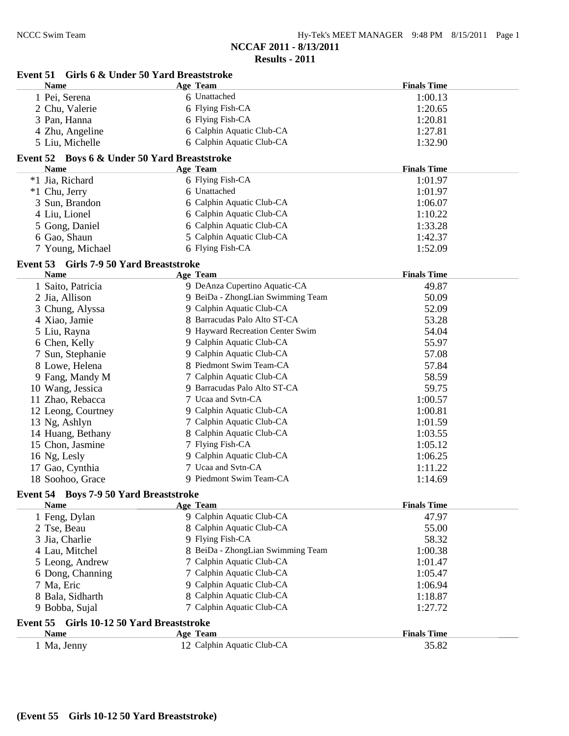| Event 51 Girls 6 & Under 50 Yard Breaststroke               |                                   |                    |
|-------------------------------------------------------------|-----------------------------------|--------------------|
| <b>Name</b>                                                 | Age Team                          | <b>Finals Time</b> |
| 1 Pei, Serena                                               | 6 Unattached                      | 1:00.13            |
| 2 Chu, Valerie                                              | 6 Flying Fish-CA                  | 1:20.65            |
| 3 Pan, Hanna                                                | 6 Flying Fish-CA                  | 1:20.81            |
| 4 Zhu, Angeline                                             | 6 Calphin Aquatic Club-CA         | 1:27.81            |
| 5 Liu, Michelle                                             | 6 Calphin Aquatic Club-CA         | 1:32.90            |
| Event 52 Boys 6 & Under 50 Yard Breaststroke                |                                   |                    |
| <b>Name</b>                                                 | Age Team                          | <b>Finals Time</b> |
| *1 Jia, Richard                                             | 6 Flying Fish-CA                  | 1:01.97            |
| *1 Chu, Jerry                                               | 6 Unattached                      | 1:01.97            |
| 3 Sun, Brandon                                              | 6 Calphin Aquatic Club-CA         | 1:06.07            |
| 4 Liu, Lionel                                               | 6 Calphin Aquatic Club-CA         | 1:10.22            |
| 5 Gong, Daniel                                              | 6 Calphin Aquatic Club-CA         | 1:33.28            |
| 6 Gao, Shaun                                                | 5 Calphin Aquatic Club-CA         | 1:42.37            |
| 7 Young, Michael                                            | 6 Flying Fish-CA                  | 1:52.09            |
| Event 53 Girls 7-9 50 Yard Breaststroke                     |                                   |                    |
| <b>Name</b>                                                 | Age Team                          | <b>Finals Time</b> |
| 1 Saito, Patricia                                           | 9 DeAnza Cupertino Aquatic-CA     | 49.87              |
| 2 Jia, Allison                                              | 9 BeiDa - ZhongLian Swimming Team | 50.09              |
| 3 Chung, Alyssa                                             | 9 Calphin Aquatic Club-CA         | 52.09              |
| 4 Xiao, Jamie                                               | 8 Barracudas Palo Alto ST-CA      | 53.28              |
| 5 Liu, Rayna                                                | 9 Hayward Recreation Center Swim  | 54.04              |
| 6 Chen, Kelly                                               | 9 Calphin Aquatic Club-CA         | 55.97              |
| 7 Sun, Stephanie                                            | 9 Calphin Aquatic Club-CA         | 57.08              |
| 8 Lowe, Helena                                              | 8 Piedmont Swim Team-CA           | 57.84              |
| 9 Fang, Mandy M                                             | 7 Calphin Aquatic Club-CA         | 58.59              |
| 10 Wang, Jessica                                            | 9 Barracudas Palo Alto ST-CA      | 59.75              |
| 11 Zhao, Rebacca                                            | 7 Ucaa and Svtn-CA                | 1:00.57            |
| 12 Leong, Courtney                                          | 9 Calphin Aquatic Club-CA         | 1:00.81            |
| 13 Ng, Ashlyn                                               | 7 Calphin Aquatic Club-CA         | 1:01.59            |
| 14 Huang, Bethany                                           | 8 Calphin Aquatic Club-CA         | 1:03.55            |
| 15 Chon, Jasmine                                            | 7 Flying Fish-CA                  | 1:05.12            |
| 16 Ng, Lesly                                                | 9 Calphin Aquatic Club-CA         | 1:06.25            |
| 17 Gao, Cynthia                                             | 7 Ucaa and Svtn-CA                | 1:11.22            |
| 18 Soohoo, Grace                                            | 9 Piedmont Swim Team-CA           | 1:14.69            |
| Event 54 Boys 7-9 50 Yard Breaststroke                      |                                   |                    |
| <b>Name</b>                                                 | <b>Age Team</b>                   | <b>Finals Time</b> |
| 1 Feng, Dylan                                               | 9 Calphin Aquatic Club-CA         | 47.97              |
| 2 Tse, Beau                                                 | 8 Calphin Aquatic Club-CA         | 55.00              |
| 3 Jia, Charlie                                              | 9 Flying Fish-CA                  | 58.32              |
| 4 Lau, Mitchel                                              | 8 BeiDa - ZhongLian Swimming Team | 1:00.38            |
| 5 Leong, Andrew                                             | 7 Calphin Aquatic Club-CA         | 1:01.47            |
| 6 Dong, Channing                                            | 7 Calphin Aquatic Club-CA         | 1:05.47            |
| 7 Ma, Eric                                                  | 9 Calphin Aquatic Club-CA         | 1:06.94            |
| 8 Bala, Sidharth                                            | 8 Calphin Aquatic Club-CA         | 1:18.87            |
| 9 Bobba, Sujal                                              | 7 Calphin Aquatic Club-CA         | 1:27.72            |
|                                                             |                                   |                    |
| Girls 10-12 50 Yard Breaststroke<br>Event 55<br><b>Name</b> | <b>Age Team</b>                   | <b>Finals Time</b> |
|                                                             | 12 Calphin Aquatic Club-CA        | 35.82              |
| 1 Ma, Jenny                                                 |                                   |                    |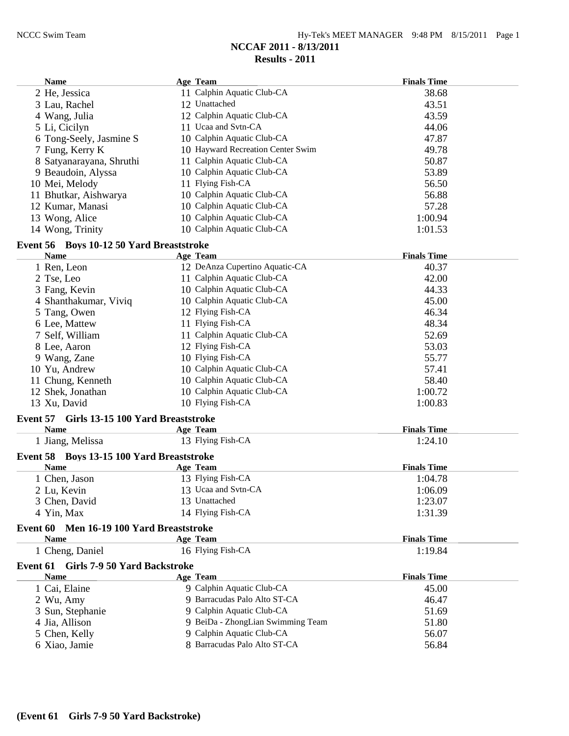| <b>Name</b>                                        | Age Team                          | <b>Finals Time</b> |
|----------------------------------------------------|-----------------------------------|--------------------|
| 2 He, Jessica                                      | 11 Calphin Aquatic Club-CA        | 38.68              |
| 3 Lau, Rachel                                      | 12 Unattached                     | 43.51              |
| 4 Wang, Julia                                      | 12 Calphin Aquatic Club-CA        | 43.59              |
| 5 Li, Cicilyn                                      | 11 Ucaa and Svtn-CA               | 44.06              |
| 6 Tong-Seely, Jasmine S                            | 10 Calphin Aquatic Club-CA        | 47.87              |
| 7 Fung, Kerry K                                    | 10 Hayward Recreation Center Swim | 49.78              |
| 8 Satyanarayana, Shruthi                           | 11 Calphin Aquatic Club-CA        | 50.87              |
| 9 Beaudoin, Alyssa                                 | 10 Calphin Aquatic Club-CA        | 53.89              |
| 10 Mei, Melody                                     | 11 Flying Fish-CA                 | 56.50              |
| 11 Bhutkar, Aishwarya                              | 10 Calphin Aquatic Club-CA        | 56.88              |
| 12 Kumar, Manasi                                   | 10 Calphin Aquatic Club-CA        | 57.28              |
| 13 Wong, Alice                                     | 10 Calphin Aquatic Club-CA        | 1:00.94            |
| 14 Wong, Trinity                                   | 10 Calphin Aquatic Club-CA        | 1:01.53            |
| Event 56 Boys 10-12 50 Yard Breaststroke           |                                   |                    |
| <b>Name</b>                                        | Age Team                          | <b>Finals Time</b> |
| 1 Ren, Leon                                        | 12 DeAnza Cupertino Aquatic-CA    | 40.37              |
| 2 Tse, Leo                                         | 11 Calphin Aquatic Club-CA        | 42.00              |
| 3 Fang, Kevin                                      | 10 Calphin Aquatic Club-CA        | 44.33              |
| 4 Shanthakumar, Viviq                              | 10 Calphin Aquatic Club-CA        | 45.00              |
| 5 Tang, Owen                                       | 12 Flying Fish-CA                 | 46.34              |
| 6 Lee, Mattew                                      | 11 Flying Fish-CA                 | 48.34              |
| 7 Self, William                                    | 11 Calphin Aquatic Club-CA        | 52.69              |
| 8 Lee, Aaron                                       | 12 Flying Fish-CA                 | 53.03              |
| 9 Wang, Zane                                       | 10 Flying Fish-CA                 | 55.77              |
| 10 Yu, Andrew                                      | 10 Calphin Aquatic Club-CA        | 57.41              |
| 11 Chung, Kenneth                                  | 10 Calphin Aquatic Club-CA        | 58.40              |
| 12 Shek, Jonathan                                  | 10 Calphin Aquatic Club-CA        | 1:00.72            |
| 13 Xu, David                                       | 10 Flying Fish-CA                 | 1:00.83            |
| Girls 13-15 100 Yard Breaststroke<br>Event 57      |                                   |                    |
| <b>Name</b>                                        | Age Team                          | <b>Finals Time</b> |
| 1 Jiang, Melissa                                   | 13 Flying Fish-CA                 | 1:24.10            |
| Event 58 Boys 13-15 100 Yard Breaststroke          |                                   |                    |
| <b>Name</b>                                        | Age Team                          | <b>Finals Time</b> |
| 1 Chen, Jason                                      | 13 Flying Fish-CA                 | 1:04.78            |
| 2 Lu, Kevin                                        | 13 Ucaa and Svtn-CA               | 1:06.09            |
| 3 Chen, David                                      | 13 Unattached                     | 1:23.07            |
| 4 Yin, Max                                         | 14 Flying Fish-CA                 | 1:31.39            |
| Men 16-19 100 Yard Breaststroke<br><b>Event 60</b> |                                   |                    |
| <b>Name</b>                                        | Age Team                          | <b>Finals Time</b> |
| 1 Cheng, Daniel                                    | 16 Flying Fish-CA                 | 1:19.84            |
| Event 61 Girls 7-9 50 Yard Backstroke              |                                   |                    |
| <b>Name</b>                                        | Age Team                          | <b>Finals Time</b> |
| 1 Cai, Elaine                                      | 9 Calphin Aquatic Club-CA         | 45.00              |
| 2 Wu, Amy                                          | 9 Barracudas Palo Alto ST-CA      | 46.47              |
| 3 Sun, Stephanie                                   | 9 Calphin Aquatic Club-CA         | 51.69              |
| 4 Jia, Allison                                     | 9 BeiDa - ZhongLian Swimming Team | 51.80              |
| 5 Chen, Kelly                                      | 9 Calphin Aquatic Club-CA         | 56.07              |
| 6 Xiao, Jamie                                      | 8 Barracudas Palo Alto ST-CA      | 56.84              |
|                                                    |                                   |                    |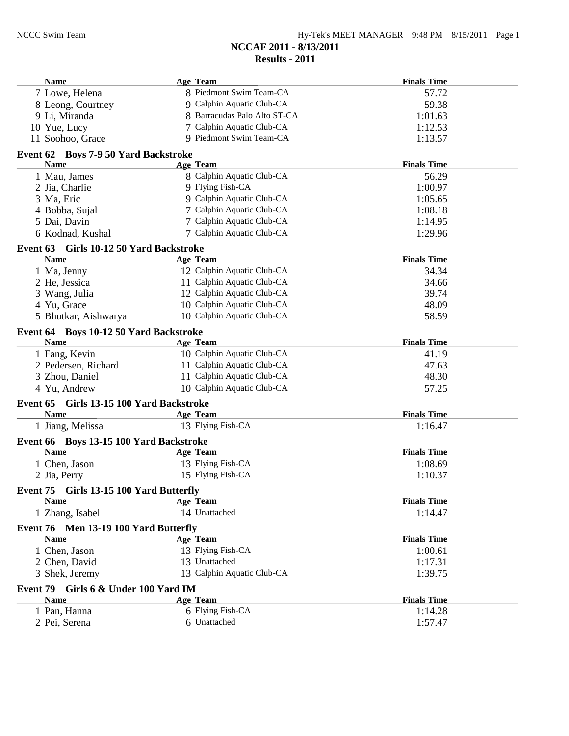| Name                                                   | Age Team                               | <b>Finals Time</b> |
|--------------------------------------------------------|----------------------------------------|--------------------|
| 7 Lowe, Helena                                         | 8 Piedmont Swim Team-CA                | 57.72              |
| 8 Leong, Courtney                                      | 9 Calphin Aquatic Club-CA              | 59.38              |
| 9 Li, Miranda                                          | 8 Barracudas Palo Alto ST-CA           | 1:01.63            |
| 10 Yue, Lucy                                           | 7 Calphin Aquatic Club-CA              | 1:12.53            |
| 11 Soohoo, Grace                                       | 9 Piedmont Swim Team-CA                | 1:13.57            |
| Event 62 Boys 7-9 50 Yard Backstroke                   |                                        |                    |
| <b>Name</b>                                            | Age Team                               | <b>Finals Time</b> |
| 1 Mau, James                                           | 8 Calphin Aquatic Club-CA              | 56.29              |
| 2 Jia, Charlie                                         | 9 Flying Fish-CA                       | 1:00.97            |
| 3 Ma, Eric                                             | 9 Calphin Aquatic Club-CA              | 1:05.65            |
| 4 Bobba, Sujal                                         | 7 Calphin Aquatic Club-CA              | 1:08.18            |
| 5 Dai, Davin                                           | 7 Calphin Aquatic Club-CA              | 1:14.95            |
| 6 Kodnad, Kushal                                       | 7 Calphin Aquatic Club-CA              | 1:29.96            |
|                                                        |                                        |                    |
| Event 63 Girls 10-12 50 Yard Backstroke<br><b>Name</b> |                                        | <b>Finals Time</b> |
|                                                        | Age Team<br>12 Calphin Aquatic Club-CA |                    |
| 1 Ma, Jenny                                            |                                        | 34.34              |
| 2 He, Jessica                                          | 11 Calphin Aquatic Club-CA             | 34.66              |
| 3 Wang, Julia                                          | 12 Calphin Aquatic Club-CA             | 39.74              |
| 4 Yu, Grace                                            | 10 Calphin Aquatic Club-CA             | 48.09              |
| 5 Bhutkar, Aishwarya                                   | 10 Calphin Aquatic Club-CA             | 58.59              |
| Event 64 Boys 10-12 50 Yard Backstroke                 |                                        |                    |
| <b>Name</b>                                            | <b>Age Team</b>                        | <b>Finals Time</b> |
| 1 Fang, Kevin                                          | 10 Calphin Aquatic Club-CA             | 41.19              |
| 2 Pedersen, Richard                                    | 11 Calphin Aquatic Club-CA             | 47.63              |
| 3 Zhou, Daniel                                         | 11 Calphin Aquatic Club-CA             | 48.30              |
| 4 Yu, Andrew                                           | 10 Calphin Aquatic Club-CA             | 57.25              |
| Girls 13-15 100 Yard Backstroke<br>Event 65            |                                        |                    |
| <b>Name</b>                                            | Age Team                               | <b>Finals Time</b> |
| 1 Jiang, Melissa                                       | 13 Flying Fish-CA                      | 1:16.47            |
| Event 66 Boys 13-15 100 Yard Backstroke                |                                        |                    |
| <b>Name</b>                                            | Age Team                               | <b>Finals Time</b> |
| 1 Chen, Jason                                          | 13 Flying Fish-CA                      | 1:08.69            |
| 2 Jia, Perry                                           | 15 Flying Fish-CA                      | 1:10.37            |
| Event 75 Girls 13-15 100 Yard Butterfly                |                                        |                    |
| <b>Name</b>                                            | Age Team                               | <b>Finals Time</b> |
| 1 Zhang, Isabel                                        | 14 Unattached                          | 1:14.47            |
| Event 76 Men 13-19 100 Yard Butterfly                  |                                        |                    |
| <b>Name</b>                                            | Age Team                               | <b>Finals Time</b> |
| 1 Chen, Jason                                          | 13 Flying Fish-CA                      | 1:00.61            |
| 2 Chen, David                                          | 13 Unattached                          | 1:17.31            |
| 3 Shek, Jeremy                                         | 13 Calphin Aquatic Club-CA             | 1:39.75            |
|                                                        |                                        |                    |
| Event 79 Girls 6 & Under 100 Yard IM                   |                                        |                    |
| <b>Name</b>                                            | Age Team                               | <b>Finals Time</b> |
| 1 Pan, Hanna                                           | 6 Flying Fish-CA                       | 1:14.28            |
| 2 Pei, Serena                                          | 6 Unattached                           | 1:57.47            |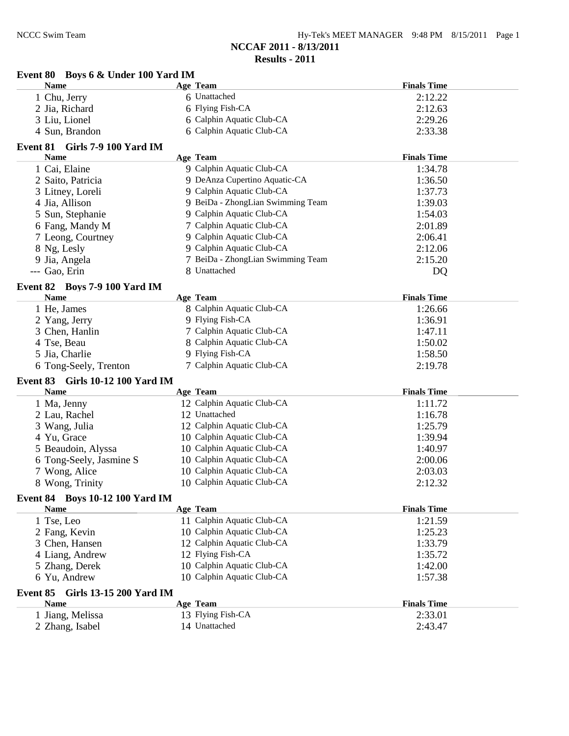**Event 80 Boys 6 & Under 100 Yard IM**

| Hy-Tek's MEET MANAGER 9:48 PM 8/15/2011 Page 1 |  |  |  |
|------------------------------------------------|--|--|--|
|------------------------------------------------|--|--|--|

**NCCAF 2011 - 8/13/2011**

| <b>Name</b>                                | Age Team                          | <b>Finals Time</b> |
|--------------------------------------------|-----------------------------------|--------------------|
| 1 Chu, Jerry                               | 6 Unattached                      | 2:12.22            |
| 2 Jia, Richard                             | 6 Flying Fish-CA                  | 2:12.63            |
| 3 Liu, Lionel                              | 6 Calphin Aquatic Club-CA         | 2:29.26            |
| 4 Sun, Brandon                             | 6 Calphin Aquatic Club-CA         | 2:33.38            |
| Event 81 Girls 7-9 100 Yard IM             |                                   |                    |
| <b>Name</b>                                | <b>Age Team</b>                   | <b>Finals Time</b> |
| 1 Cai, Elaine                              | 9 Calphin Aquatic Club-CA         | 1:34.78            |
| 2 Saito, Patricia                          | 9 DeAnza Cupertino Aquatic-CA     | 1:36.50            |
| 3 Litney, Loreli                           | 9 Calphin Aquatic Club-CA         | 1:37.73            |
| 4 Jia, Allison                             | 9 BeiDa - ZhongLian Swimming Team | 1:39.03            |
| 5 Sun, Stephanie                           | 9 Calphin Aquatic Club-CA         | 1:54.03            |
| 6 Fang, Mandy M                            | 7 Calphin Aquatic Club-CA         | 2:01.89            |
| 7 Leong, Courtney                          | 9 Calphin Aquatic Club-CA         | 2:06.41            |
| 8 Ng, Lesly                                | 9 Calphin Aquatic Club-CA         | 2:12.06            |
| 9 Jia, Angela                              | 7 BeiDa - ZhongLian Swimming Team | 2:15.20            |
| --- Gao, Erin                              | 8 Unattached                      | DQ                 |
|                                            |                                   |                    |
| Event 82 Boys 7-9 100 Yard IM              |                                   |                    |
| <b>Name</b>                                | Age Team                          | <b>Finals Time</b> |
| 1 He, James                                | 8 Calphin Aquatic Club-CA         | 1:26.66            |
| 2 Yang, Jerry                              | 9 Flying Fish-CA                  | 1:36.91            |
| 3 Chen, Hanlin                             | 7 Calphin Aquatic Club-CA         | 1:47.11            |
| 4 Tse, Beau                                | 8 Calphin Aquatic Club-CA         | 1:50.02            |
| 5 Jia, Charlie                             | 9 Flying Fish-CA                  | 1:58.50            |
| 6 Tong-Seely, Trenton                      | 7 Calphin Aquatic Club-CA         | 2:19.78            |
| <b>Girls 10-12 100 Yard IM</b><br>Event 83 |                                   |                    |
| <b>Name</b>                                | Age Team                          | <b>Finals Time</b> |
| 1 Ma, Jenny                                | 12 Calphin Aquatic Club-CA        | 1:11.72            |
| 2 Lau, Rachel                              | 12 Unattached                     | 1:16.78            |
| 3 Wang, Julia                              | 12 Calphin Aquatic Club-CA        | 1:25.79            |
| 4 Yu, Grace                                | 10 Calphin Aquatic Club-CA        | 1:39.94            |
| 5 Beaudoin, Alyssa                         | 10 Calphin Aquatic Club-CA        | 1:40.97            |
| 6 Tong-Seely, Jasmine S                    | 10 Calphin Aquatic Club-CA        | 2:00.06            |
| 7 Wong, Alice                              | 10 Calphin Aquatic Club-CA        | 2:03.03            |
| 8 Wong, Trinity                            | 10 Calphin Aquatic Club-CA        | 2:12.32            |
| <b>Event 84 Boys 10-12 100 Yard IM</b>     |                                   |                    |
| <b>Name</b>                                | Age Team                          | <b>Finals Time</b> |
| 1 Tse, Leo                                 | 11 Calphin Aquatic Club-CA        | 1:21.59            |
| 2 Fang, Kevin                              | 10 Calphin Aquatic Club-CA        | 1:25.23            |
| 3 Chen, Hansen                             | 12 Calphin Aquatic Club-CA        | 1:33.79            |
| 4 Liang, Andrew                            | 12 Flying Fish-CA                 | 1:35.72            |
| 5 Zhang, Derek                             | 10 Calphin Aquatic Club-CA        | 1:42.00            |
| 6 Yu, Andrew                               | 10 Calphin Aquatic Club-CA        | 1:57.38            |
|                                            |                                   |                    |
| <b>Girls 13-15 200 Yard IM</b><br>Event 85 |                                   |                    |
| <b>Name</b>                                | Age Team                          | <b>Finals Time</b> |
| 1 Jiang, Melissa                           | 13 Flying Fish-CA                 | 2:33.01            |
| 2 Zhang, Isabel                            | 14 Unattached                     | 2:43.47            |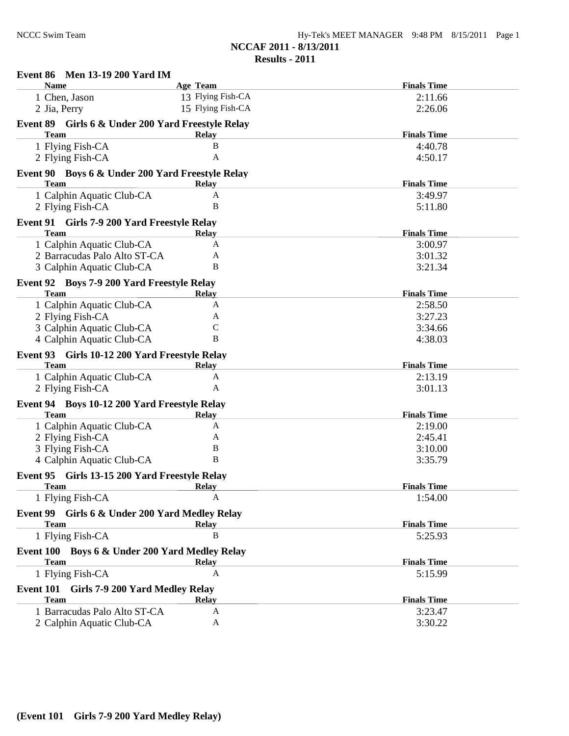| Event 86 Men 13-19 200 Yard IM                              |                   |                               |
|-------------------------------------------------------------|-------------------|-------------------------------|
| <b>Name</b>                                                 | <b>Age Team</b>   | <b>Finals Time</b>            |
| 1 Chen, Jason                                               | 13 Flying Fish-CA | 2:11.66                       |
| 2 Jia, Perry                                                | 15 Flying Fish-CA | 2:26.06                       |
| Event 89 Girls 6 & Under 200 Yard Freestyle Relay           |                   |                               |
| <b>Team</b>                                                 | <b>Relay</b>      | <b>Finals Time</b>            |
| 1 Flying Fish-CA                                            | B                 | 4:40.78                       |
| 2 Flying Fish-CA                                            | A                 | 4:50.17                       |
| Event 90 Boys 6 & Under 200 Yard Freestyle Relay            |                   |                               |
| <b>Team</b>                                                 | <b>Relay</b>      | <b>Finals Time</b>            |
| 1 Calphin Aquatic Club-CA                                   | A                 | 3:49.97                       |
| 2 Flying Fish-CA                                            | B                 | 5:11.80                       |
| Event 91 Girls 7-9 200 Yard Freestyle Relay                 |                   |                               |
| <b>Team</b>                                                 | <b>Relay</b>      | <b>Finals Time</b>            |
| 1 Calphin Aquatic Club-CA                                   | A                 | 3:00.97                       |
| 2 Barracudas Palo Alto ST-CA                                | А                 | 3:01.32                       |
| 3 Calphin Aquatic Club-CA                                   | B                 | 3:21.34                       |
| Event 92 Boys 7-9 200 Yard Freestyle Relay                  |                   |                               |
| <b>Team</b>                                                 | <b>Relay</b>      | <b>Finals Time</b>            |
| 1 Calphin Aquatic Club-CA                                   | A                 | 2:58.50                       |
| 2 Flying Fish-CA                                            | A                 | 3:27.23                       |
| 3 Calphin Aquatic Club-CA                                   | $\mathcal{C}$     | 3:34.66                       |
| 4 Calphin Aquatic Club-CA                                   | B                 | 4:38.03                       |
| Event 93 Girls 10-12 200 Yard Freestyle Relay               |                   |                               |
| <b>Team</b>                                                 | <b>Relay</b>      | <b>Finals Time</b>            |
| 1 Calphin Aquatic Club-CA                                   | A                 | 2:13.19                       |
| 2 Flying Fish-CA                                            | A                 | 3:01.13                       |
|                                                             |                   |                               |
| Event 94 Boys 10-12 200 Yard Freestyle Relay<br><b>Team</b> |                   | <b>Finals Time</b>            |
| 1 Calphin Aquatic Club-CA                                   | <b>Relay</b><br>A | 2:19.00                       |
| 2 Flying Fish-CA                                            | А                 | 2:45.41                       |
| 3 Flying Fish-CA                                            | B                 | 3:10.00                       |
| 4 Calphin Aquatic Club-CA                                   | B                 | 3:35.79                       |
|                                                             |                   |                               |
| Event 95 Girls 13-15 200 Yard Freestyle Relay               |                   |                               |
| Team<br>1 Flying Fish-CA                                    | <b>Relay</b><br>A | <b>Finals Time</b><br>1:54.00 |
|                                                             |                   |                               |
| Event 99 Girls 6 & Under 200 Yard Medley Relay              |                   |                               |
| <b>Team</b>                                                 | <b>Relay</b>      | <b>Finals Time</b>            |
| 1 Flying Fish-CA                                            | B                 | 5:25.93                       |
| Event 100 Boys 6 & Under 200 Yard Medley Relay              |                   |                               |
| <b>Team</b>                                                 | <b>Relay</b>      | <b>Finals Time</b>            |
| 1 Flying Fish-CA                                            | A                 | 5:15.99                       |
| Event 101<br>Girls 7-9 200 Yard Medley Relay                |                   |                               |
| <b>Team</b>                                                 | <b>Relay</b>      | <b>Finals Time</b>            |
| 1 Barracudas Palo Alto ST-CA                                | A                 | 3:23.47                       |
| 2 Calphin Aquatic Club-CA                                   | A                 | 3:30.22                       |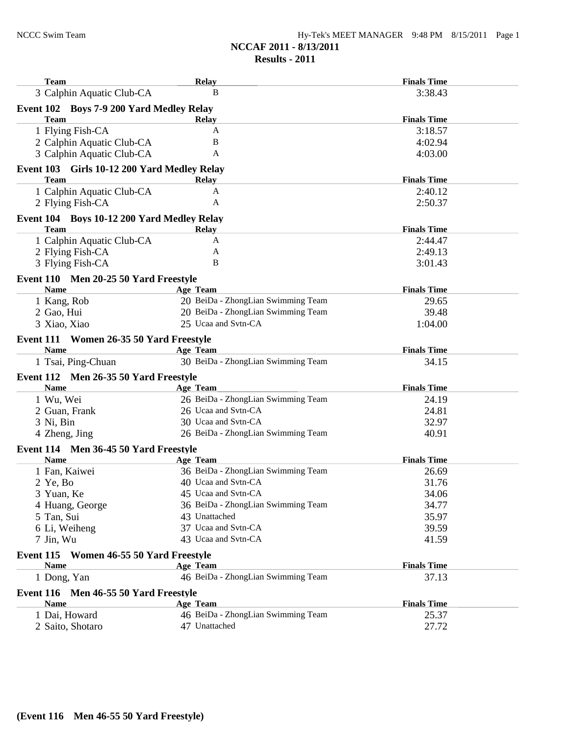| <b>Team</b>                                          | <b>Relay</b>                       | <b>Finals Time</b> |
|------------------------------------------------------|------------------------------------|--------------------|
| 3 Calphin Aquatic Club-CA                            | B                                  | 3:38.43            |
| Event 102 Boys 7-9 200 Yard Medley Relay             |                                    |                    |
| <b>Team</b>                                          | <b>Relay</b>                       | <b>Finals Time</b> |
| 1 Flying Fish-CA                                     | A                                  | 3:18.57            |
| 2 Calphin Aquatic Club-CA                            | B                                  | 4:02.94            |
| 3 Calphin Aquatic Club-CA                            | A                                  | 4:03.00            |
| Event 103 Girls 10-12 200 Yard Medley Relay          |                                    |                    |
| <b>Team</b>                                          | Relay                              | <b>Finals Time</b> |
| 1 Calphin Aquatic Club-CA                            | A                                  | 2:40.12            |
| 2 Flying Fish-CA                                     | A                                  | 2:50.37            |
| Event 104 Boys 10-12 200 Yard Medley Relay           |                                    |                    |
| <b>Team</b>                                          | Relay                              | <b>Finals Time</b> |
| 1 Calphin Aquatic Club-CA                            | A                                  | 2:44.47            |
| 2 Flying Fish-CA                                     | A                                  | 2:49.13            |
| 3 Flying Fish-CA                                     | B                                  | 3:01.43            |
|                                                      |                                    |                    |
| Event 110 Men 20-25 50 Yard Freestyle<br><b>Name</b> | Age Team                           | <b>Finals Time</b> |
| 1 Kang, Rob                                          | 20 BeiDa - ZhongLian Swimming Team | 29.65              |
| 2 Gao, Hui                                           | 20 BeiDa - ZhongLian Swimming Team | 39.48              |
| 3 Xiao, Xiao                                         | 25 Ucaa and Svtn-CA                | 1:04.00            |
|                                                      |                                    |                    |
| Event 111 Women 26-35 50 Yard Freestyle              |                                    |                    |
| <b>Name</b>                                          | <b>Age Team</b>                    | <b>Finals Time</b> |
| 1 Tsai, Ping-Chuan                                   | 30 BeiDa - ZhongLian Swimming Team | 34.15              |
| Event 112 Men 26-35 50 Yard Freestyle                |                                    |                    |
| <b>Name</b>                                          | <b>Age Team</b>                    | <b>Finals Time</b> |
| 1 Wu, Wei                                            | 26 BeiDa - ZhongLian Swimming Team | 24.19              |
| 2 Guan, Frank                                        | 26 Ucaa and Svtn-CA                | 24.81              |
| 3 Ni, Bin                                            | 30 Ucaa and Svtn-CA                | 32.97              |
| 4 Zheng, Jing                                        | 26 BeiDa - ZhongLian Swimming Team | 40.91              |
| Event 114 Men 36-45 50 Yard Freestyle                |                                    |                    |
| <b>Name</b>                                          | Age Team                           | <b>Finals Time</b> |
| 1 Fan, Kaiwei                                        | 36 BeiDa - ZhongLian Swimming Team | 26.69              |
| $2$ Ye, Bo                                           | 40 Ucaa and Svtn-CA                | 31.76              |
| 3 Yuan, Ke                                           | 45 Ucaa and Svtn-CA                | 34.06              |
| 4 Huang, George                                      | 36 BeiDa - ZhongLian Swimming Team | 34.77              |
| 5 Tan, Sui                                           | 43 Unattached                      | 35.97              |
| 6 Li, Weiheng                                        | 37 Ucaa and Svtn-CA                | 39.59              |
| 7 Jin, Wu                                            | 43 Ucaa and Svtn-CA                | 41.59              |
| Event 115 Women 46-55 50 Yard Freestyle              |                                    |                    |
| <b>Name</b>                                          | <b>Age Team</b>                    | <b>Finals Time</b> |
| 1 Dong, Yan                                          | 46 BeiDa - ZhongLian Swimming Team | 37.13              |
| Event 116 Men 46-55 50 Yard Freestyle                |                                    |                    |
| <b>Name</b>                                          | Age Team                           | <b>Finals Time</b> |
| 1 Dai, Howard                                        | 46 BeiDa - ZhongLian Swimming Team | 25.37              |
| 2 Saito, Shotaro                                     | 47 Unattached                      | 27.72              |
|                                                      |                                    |                    |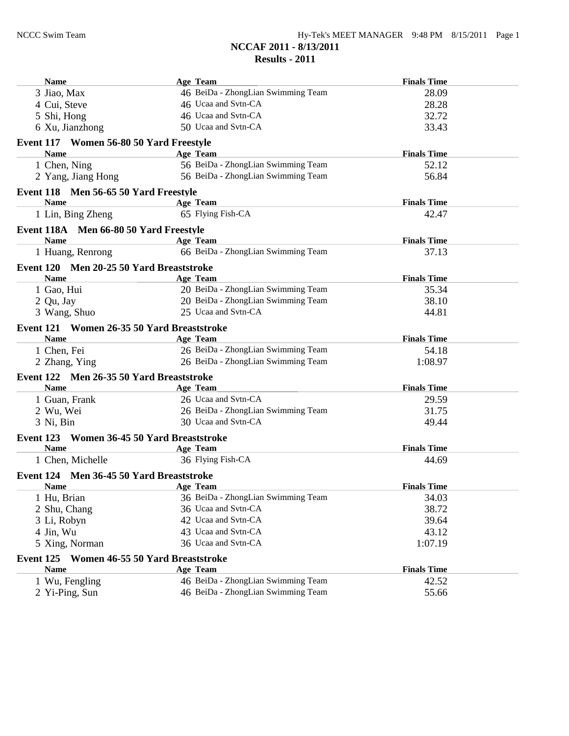| <b>Name</b>                                | Age Team                           | <b>Finals Time</b> |
|--------------------------------------------|------------------------------------|--------------------|
| 3 Jiao, Max                                | 46 BeiDa - ZhongLian Swimming Team | 28.09              |
| 4 Cui, Steve                               | 46 Ucaa and Svtn-CA                | 28.28              |
| 5 Shi, Hong                                | 46 Ucaa and Svtn-CA                | 32.72              |
| 6 Xu, Jianzhong                            | 50 Ucaa and Svtn-CA                | 33.43              |
| Event 117 Women 56-80 50 Yard Freestyle    |                                    |                    |
| <b>Name</b>                                | <b>Age Team</b>                    | <b>Finals Time</b> |
| 1 Chen, Ning                               | 56 BeiDa - ZhongLian Swimming Team | 52.12              |
| 2 Yang, Jiang Hong                         | 56 BeiDa - ZhongLian Swimming Team | 56.84              |
| Event 118 Men 56-65 50 Yard Freestyle      |                                    |                    |
| <b>Name</b>                                | Age Team                           | <b>Finals Time</b> |
| 1 Lin, Bing Zheng                          | 65 Flying Fish-CA                  | 42.47              |
| Event 118A Men 66-80 50 Yard Freestyle     |                                    |                    |
| <b>Name</b>                                | Age Team                           | <b>Finals Time</b> |
| 1 Huang, Renrong                           | 66 BeiDa - ZhongLian Swimming Team | 37.13              |
| Event 120 Men 20-25 50 Yard Breaststroke   |                                    |                    |
| <b>Name</b>                                | <b>Age Team</b>                    | <b>Finals Time</b> |
| 1 Gao, Hui                                 | 20 BeiDa - ZhongLian Swimming Team | 35.34              |
| 2 Qu, Jay                                  | 20 BeiDa - ZhongLian Swimming Team | 38.10              |
| 3 Wang, Shuo                               | 25 Ucaa and Svtn-CA                | 44.81              |
| Event 121 Women 26-35 50 Yard Breaststroke |                                    |                    |
| <b>Name</b>                                | <b>Age Team</b>                    | <b>Finals Time</b> |
| 1 Chen, Fei                                | 26 BeiDa - ZhongLian Swimming Team | 54.18              |
| 2 Zhang, Ying                              | 26 BeiDa - ZhongLian Swimming Team | 1:08.97            |
| Event 122 Men 26-35 50 Yard Breaststroke   |                                    |                    |
| <b>Name</b>                                | Age Team                           | <b>Finals Time</b> |
| 1 Guan, Frank                              | 26 Ucaa and Svtn-CA                | 29.59              |
| 2 Wu, Wei                                  | 26 BeiDa - ZhongLian Swimming Team | 31.75              |
| 3 Ni, Bin                                  | 30 Ucaa and Svtn-CA                | 49.44              |
| Event 123 Women 36-45 50 Yard Breaststroke |                                    |                    |
| <b>Name</b>                                | <b>Age Team</b>                    | <b>Finals Time</b> |
| 1 Chen, Michelle                           | 36 Flying Fish-CA                  | 44.69              |
| Event 124 Men 36-45 50 Yard Breaststroke   |                                    |                    |
| <b>Name</b>                                | <b>Age Team</b>                    | <b>Finals Time</b> |
| 1 Hu, Brian                                | 36 BeiDa - ZhongLian Swimming Team | 34.03              |
| 2 Shu, Chang                               | 36 Ucaa and Svtn-CA                | 38.72              |
| 3 Li, Robyn                                | 42 Ucaa and Svtn-CA                | 39.64              |
| 4 Jin, Wu                                  | 43 Ucaa and Svtn-CA                | 43.12              |
| 5 Xing, Norman                             | 36 Ucaa and Svtn-CA                | 1:07.19            |
| Event 125 Women 46-55 50 Yard Breaststroke |                                    |                    |
| <b>Name</b>                                | <b>Age Team</b>                    | <b>Finals Time</b> |
| 1 Wu, Fengling                             | 46 BeiDa - ZhongLian Swimming Team | 42.52              |
| 2 Yi-Ping, Sun                             | 46 BeiDa - ZhongLian Swimming Team | 55.66              |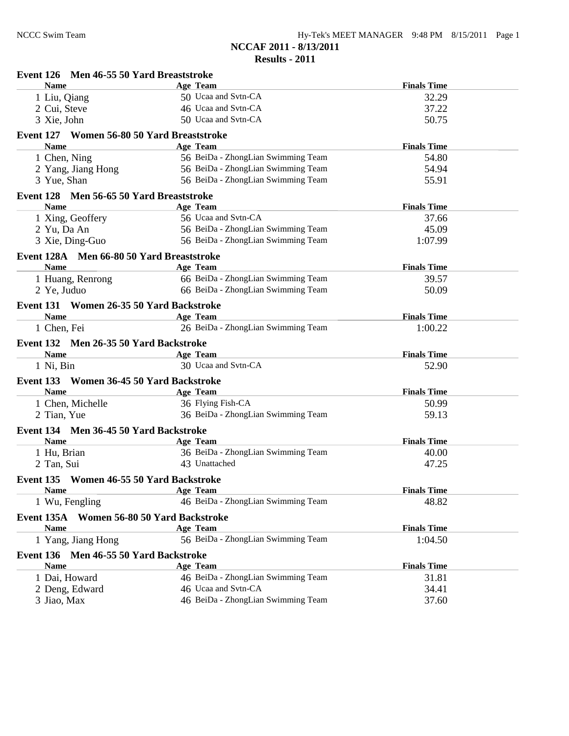| Hy-Tek's MEET MANAGER 9:48 PM 8/15/2011 Page 1 |  |  |
|------------------------------------------------|--|--|
|------------------------------------------------|--|--|

| Event 126 Men 46-55 50 Yard Breaststroke              |                                    |                    |
|-------------------------------------------------------|------------------------------------|--------------------|
| <b>Name</b>                                           | <b>Age Team</b>                    | <b>Finals Time</b> |
| 1 Liu, Qiang                                          | 50 Ucaa and Svtn-CA                | 32.29              |
| 2 Cui, Steve                                          | 46 Ucaa and Svtn-CA                | 37.22              |
| 3 Xie, John                                           | 50 Ucaa and Svtn-CA                | 50.75              |
| Event 127 Women 56-80 50 Yard Breaststroke            |                                    |                    |
| <b>Name</b>                                           | <b>Age Team</b>                    | <b>Finals Time</b> |
| 1 Chen, Ning                                          | 56 BeiDa - ZhongLian Swimming Team | 54.80              |
| 2 Yang, Jiang Hong                                    | 56 BeiDa - ZhongLian Swimming Team | 54.94              |
| 3 Yue, Shan                                           | 56 BeiDa - ZhongLian Swimming Team | 55.91              |
| Event 128 Men 56-65 50 Yard Breaststroke              |                                    |                    |
| <b>Name</b>                                           | Age Team                           | <b>Finals Time</b> |
| 1 Xing, Geoffery                                      | 56 Ucaa and Svtn-CA                | 37.66              |
| 2 Yu, Da An                                           | 56 BeiDa - ZhongLian Swimming Team | 45.09              |
| 3 Xie, Ding-Guo                                       | 56 BeiDa - ZhongLian Swimming Team | 1:07.99            |
| Event 128A Men 66-80 50 Yard Breaststroke             |                                    |                    |
| <b>Name</b>                                           | Age Team                           | <b>Finals Time</b> |
| 1 Huang, Renrong                                      | 66 BeiDa - ZhongLian Swimming Team | 39.57              |
| 2 Ye, Juduo                                           | 66 BeiDa - ZhongLian Swimming Team | 50.09              |
| Event 131 Women 26-35 50 Yard Backstroke              |                                    |                    |
| <b>Name</b>                                           | <b>Age Team</b>                    | <b>Finals Time</b> |
| 1 Chen, Fei                                           | 26 BeiDa - ZhongLian Swimming Team | 1:00.22            |
|                                                       |                                    |                    |
| Event 132 Men 26-35 50 Yard Backstroke<br><b>Name</b> | Age Team                           | <b>Finals Time</b> |
| 1 Ni, Bin                                             | 30 Ucaa and Svtn-CA                | 52.90              |
|                                                       |                                    |                    |
| Event 133 Women 36-45 50 Yard Backstroke              |                                    |                    |
| <b>Name</b>                                           | Age Team                           | <b>Finals Time</b> |
| 1 Chen, Michelle                                      | 36 Flying Fish-CA                  | 50.99              |
| 2 Tian, Yue                                           | 36 BeiDa - ZhongLian Swimming Team | 59.13              |
| Event 134 Men 36-45 50 Yard Backstroke                |                                    |                    |
| <b>Name</b>                                           | Age Team                           | <b>Finals Time</b> |
| 1 Hu, Brian                                           | 36 BeiDa - ZhongLian Swimming Team | 40.00              |
| 2 Tan, Sui                                            | 43 Unattached                      | 47.25              |
| Event 135 Women 46-55 50 Yard Backstroke              |                                    |                    |
| <b>Name</b>                                           | Age Team                           | <b>Finals Time</b> |
| 1 Wu, Fengling                                        | 46 BeiDa - ZhongLian Swimming Team | 48.82              |
| Event 135A Women 56-80 50 Yard Backstroke             |                                    |                    |
| <b>Name</b>                                           | <b>Age Team</b>                    | <b>Finals Time</b> |
| 1 Yang, Jiang Hong                                    | 56 BeiDa - ZhongLian Swimming Team | 1:04.50            |
| Men 46-55 50 Yard Backstroke<br>Event 136             |                                    |                    |
| <b>Name</b>                                           | Age Team                           | <b>Finals Time</b> |
| 1 Dai, Howard                                         | 46 BeiDa - ZhongLian Swimming Team | 31.81              |
| 2 Deng, Edward                                        | 46 Ucaa and Svtn-CA                | 34.41              |
| 3 Jiao, Max                                           | 46 BeiDa - ZhongLian Swimming Team | 37.60              |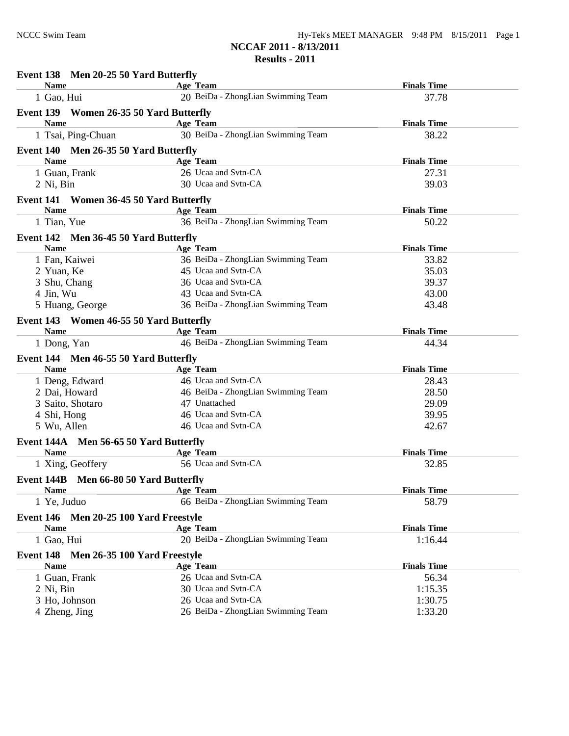| Event 138 Men 20-25 50 Yard Butterfly                 |                                    |                    |
|-------------------------------------------------------|------------------------------------|--------------------|
| <b>Name</b>                                           | Age Team                           | <b>Finals Time</b> |
| 1 Gao, Hui                                            | 20 BeiDa - ZhongLian Swimming Team | 37.78              |
| Event 139 Women 26-35 50 Yard Butterfly               |                                    |                    |
| <b>Name</b>                                           | Age Team                           | <b>Finals Time</b> |
| 1 Tsai, Ping-Chuan                                    | 30 BeiDa - ZhongLian Swimming Team | 38.22              |
| Event 140 Men 26-35 50 Yard Butterfly                 |                                    |                    |
| <b>Name</b>                                           | Age Team                           | <b>Finals Time</b> |
| 1 Guan, Frank                                         | 26 Ucaa and Svtn-CA                | 27.31              |
| 2 Ni, Bin                                             | 30 Ucaa and Svtn-CA                | 39.03              |
| Event 141 Women 36-45 50 Yard Butterfly               |                                    |                    |
| <b>Name</b>                                           | Age Team                           | <b>Finals Time</b> |
| 1 Tian, Yue                                           | 36 BeiDa - ZhongLian Swimming Team | 50.22              |
| Event 142 Men 36-45 50 Yard Butterfly                 |                                    |                    |
| <b>Name</b>                                           | Age Team                           | <b>Finals Time</b> |
| 1 Fan, Kaiwei                                         | 36 BeiDa - ZhongLian Swimming Team | 33.82              |
| 2 Yuan, Ke                                            | 45 Ucaa and Svtn-CA                | 35.03              |
| 3 Shu, Chang                                          | 36 Ucaa and Svtn-CA                | 39.37              |
| 4 Jin, Wu                                             | 43 Ucaa and Svtn-CA                | 43.00              |
| 5 Huang, George                                       | 36 BeiDa - ZhongLian Swimming Team | 43.48              |
| Event 143 Women 46-55 50 Yard Butterfly               |                                    |                    |
| <b>Name</b>                                           | Age Team                           | <b>Finals Time</b> |
| 1 Dong, Yan                                           | 46 BeiDa - ZhongLian Swimming Team | 44.34              |
| Event 144 Men 46-55 50 Yard Butterfly                 |                                    |                    |
| <b>Name</b>                                           | Age Team                           | <b>Finals Time</b> |
| 1 Deng, Edward                                        | 46 Ucaa and Svtn-CA                | 28.43              |
| 2 Dai, Howard                                         | 46 BeiDa - ZhongLian Swimming Team | 28.50              |
| 3 Saito, Shotaro                                      | 47 Unattached                      | 29.09              |
| 4 Shi, Hong                                           | 46 Ucaa and Svtn-CA                | 39.95              |
| 5 Wu, Allen                                           | 46 Ucaa and Svtn-CA                | 42.67              |
| Event 144A Men 56-65 50 Yard Butterfly                |                                    |                    |
| <b>Name</b>                                           | Age Team                           | <b>Finals Time</b> |
| 1 Xing, Geoffery                                      | 56 Ucaa and Svtn-CA                | 32.85              |
| Event 144B Men 66-80 50 Yard Butterfly                |                                    |                    |
| <b>Name</b>                                           | Age Team                           | <b>Finals Time</b> |
| 1 Ye, Juduo                                           | 66 BeiDa - ZhongLian Swimming Team | 58.79              |
| Event 146 Men 20-25 100 Yard Freestyle                |                                    |                    |
| <b>Name</b>                                           | Age Team                           | <b>Finals Time</b> |
| 1 Gao, Hui                                            | 20 BeiDa - ZhongLian Swimming Team | 1:16.44            |
|                                                       |                                    |                    |
| Event 148 Men 26-35 100 Yard Freestyle<br><b>Name</b> | Age Team                           | <b>Finals Time</b> |
| 1 Guan, Frank                                         | 26 Ucaa and Svtn-CA                | 56.34              |
| 2 Ni, Bin                                             | 30 Ucaa and Svtn-CA                | 1:15.35            |
| 3 Ho, Johnson                                         | 26 Ucaa and Svtn-CA                | 1:30.75            |
| 4 Zheng, Jing                                         | 26 BeiDa - ZhongLian Swimming Team | 1:33.20            |
|                                                       |                                    |                    |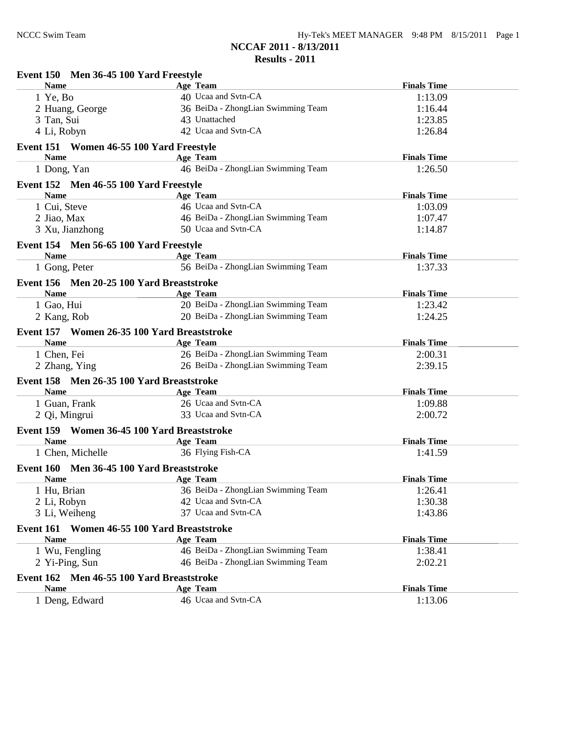| Event 150 Men 36-45 100 Yard Freestyle                      |                                    |                    |
|-------------------------------------------------------------|------------------------------------|--------------------|
| <b>Name</b>                                                 | Age Team                           | <b>Finals Time</b> |
| 1 Ye, Bo                                                    | 40 Ucaa and Svtn-CA                | 1:13.09            |
| 2 Huang, George                                             | 36 BeiDa - ZhongLian Swimming Team | 1:16.44            |
| 3 Tan, Sui                                                  | 43 Unattached                      | 1:23.85            |
| 4 Li, Robyn                                                 | 42 Ucaa and Svtn-CA                | 1:26.84            |
| Event 151 Women 46-55 100 Yard Freestyle                    |                                    |                    |
| <b>Name</b>                                                 | <b>Age Team</b>                    | <b>Finals Time</b> |
| 1 Dong, Yan                                                 | 46 BeiDa - ZhongLian Swimming Team | 1:26.50            |
| Event 152 Men 46-55 100 Yard Freestyle                      |                                    |                    |
| <b>Name</b>                                                 | Age Team                           | <b>Finals Time</b> |
| 1 Cui, Steve                                                | 46 Ucaa and Svtn-CA                | 1:03.09            |
| 2 Jiao, Max                                                 | 46 BeiDa - ZhongLian Swimming Team | 1:07.47            |
| 3 Xu, Jianzhong                                             | 50 Ucaa and Svtn-CA                | 1:14.87            |
| Event 154 Men 56-65 100 Yard Freestyle                      |                                    |                    |
| <b>Name</b><br>the control of the control of the control of | Age Team                           | <b>Finals Time</b> |
| 1 Gong, Peter                                               | 56 BeiDa - ZhongLian Swimming Team | 1:37.33            |
|                                                             |                                    |                    |
| Event 156 Men 20-25 100 Yard Breaststroke                   |                                    |                    |
| <b>Name</b>                                                 | <b>Age Team</b>                    | <b>Finals Time</b> |
| 1 Gao, Hui                                                  | 20 BeiDa - ZhongLian Swimming Team | 1:23.42            |
| 2 Kang, Rob                                                 | 20 BeiDa - ZhongLian Swimming Team | 1:24.25            |
| Event 157 Women 26-35 100 Yard Breaststroke                 |                                    |                    |
| <b>Name</b>                                                 | <b>Age Team</b>                    | <b>Finals Time</b> |
| 1 Chen, Fei                                                 | 26 BeiDa - ZhongLian Swimming Team | 2:00.31            |
| 2 Zhang, Ying                                               | 26 BeiDa - ZhongLian Swimming Team | 2:39.15            |
| Event 158 Men 26-35 100 Yard Breaststroke                   |                                    |                    |
| <b>Name</b>                                                 | <b>Age Team</b>                    | <b>Finals Time</b> |
| 1 Guan, Frank                                               | 26 Ucaa and Svtn-CA                | 1:09.88            |
| 2 Qi, Mingrui                                               | 33 Ucaa and Svtn-CA                | 2:00.72            |
| Event 159 Women 36-45 100 Yard Breaststroke                 |                                    |                    |
| <b>Name</b>                                                 | <b>Age Team</b>                    | <b>Finals Time</b> |
| 1 Chen, Michelle                                            | 36 Flying Fish-CA                  | 1:41.59            |
| Event 160 Men 36-45 100 Yard Breaststroke                   |                                    |                    |
| <b>Name</b>                                                 | <b>Age Team</b>                    | <b>Finals Time</b> |
| 1 Hu, Brian                                                 | 36 BeiDa - ZhongLian Swimming Team | 1:26.41            |
|                                                             | 42 Ucaa and Svtn-CA                |                    |
| 2 Li, Robyn                                                 | 37 Ucaa and Svtn-CA                | 1:30.38<br>1:43.86 |
| 3 Li, Weiheng                                               |                                    |                    |
| Event 161 Women 46-55 100 Yard Breaststroke                 |                                    |                    |
| <b>Name</b>                                                 | Age Team                           | <b>Finals Time</b> |
| 1 Wu, Fengling                                              | 46 BeiDa - ZhongLian Swimming Team | 1:38.41            |
| 2 Yi-Ping, Sun                                              | 46 BeiDa - ZhongLian Swimming Team | 2:02.21            |
| Event 162 Men 46-55 100 Yard Breaststroke                   |                                    |                    |
| <b>Name</b>                                                 | <b>Age Team</b>                    | <b>Finals Time</b> |
| 1 Deng, Edward                                              | 46 Ucaa and Svtn-CA                | 1:13.06            |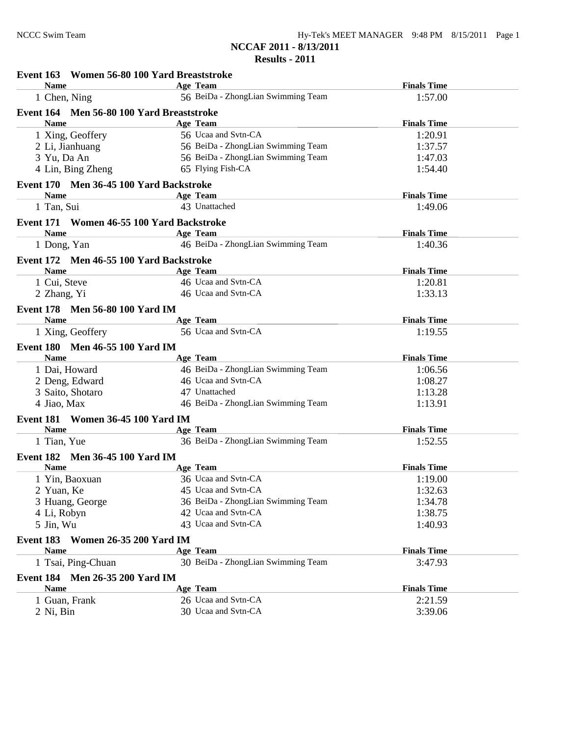| Event 163 Women 56-80 100 Yard Breaststroke    |                                    |                    |
|------------------------------------------------|------------------------------------|--------------------|
| <b>Name</b>                                    | Age Team                           | <b>Finals Time</b> |
| 1 Chen, Ning                                   | 56 BeiDa - ZhongLian Swimming Team | 1:57.00            |
| Event 164 Men 56-80 100 Yard Breaststroke      |                                    |                    |
| <b>Name</b>                                    | <b>Age Team</b>                    | <b>Finals Time</b> |
| 1 Xing, Geoffery                               | 56 Ucaa and Svtn-CA                | 1:20.91            |
| 2 Li, Jianhuang                                | 56 BeiDa - ZhongLian Swimming Team | 1:37.57            |
| 3 Yu, Da An                                    | 56 BeiDa - ZhongLian Swimming Team | 1:47.03            |
| 4 Lin, Bing Zheng                              | 65 Flying Fish-CA                  | 1:54.40            |
| Event 170 Men 36-45 100 Yard Backstroke        |                                    |                    |
| <b>Name</b>                                    | Age Team                           | <b>Finals Time</b> |
| 1 Tan, Sui                                     | 43 Unattached                      | 1:49.06            |
| Event 171 Women 46-55 100 Yard Backstroke      |                                    |                    |
| <b>Name</b>                                    | <b>Age Team</b>                    | <b>Finals Time</b> |
| 1 Dong, Yan                                    | 46 BeiDa - ZhongLian Swimming Team | 1:40.36            |
| Event 172 Men 46-55 100 Yard Backstroke        |                                    |                    |
| <b>Name</b>                                    | Age Team                           | <b>Finals Time</b> |
| 1 Cui, Steve                                   | 46 Ucaa and Svtn-CA                | 1:20.81            |
| 2 Zhang, Yi                                    | 46 Ucaa and Svtn-CA                | 1:33.13            |
| Event 178 Men 56-80 100 Yard IM                |                                    |                    |
| <b>Name</b>                                    | Age Team                           | <b>Finals Time</b> |
| 1 Xing, Geoffery                               | 56 Ucaa and Svtn-CA                | 1:19.55            |
| Event 180 Men 46-55 100 Yard IM                |                                    |                    |
| <b>Name</b>                                    | <b>Age Team</b>                    | <b>Finals Time</b> |
| 1 Dai, Howard                                  | 46 BeiDa - ZhongLian Swimming Team | 1:06.56            |
| 2 Deng, Edward                                 | 46 Ucaa and Svtn-CA                | 1:08.27            |
| 3 Saito, Shotaro                               | 47 Unattached                      | 1:13.28            |
| 4 Jiao, Max                                    | 46 BeiDa - ZhongLian Swimming Team | 1:13.91            |
| <b>Event 181 Women 36-45 100 Yard IM</b>       |                                    |                    |
| <b>Name</b>                                    | <b>Age Team</b>                    | <b>Finals Time</b> |
| 1 Tian, Yue                                    | 36 BeiDa - ZhongLian Swimming Team | 1:52.55            |
|                                                |                                    |                    |
| Event 182 Men 36-45 100 Yard IM<br><b>Name</b> | <b>Age Team</b>                    | <b>Finals Time</b> |
| 1 Yin, Baoxuan                                 | 36 Ucaa and Svtn-CA                | 1:19.00            |
| 2 Yuan, Ke                                     | 45 Ucaa and Svtn-CA                | 1:32.63            |
| 3 Huang, George                                | 36 BeiDa - ZhongLian Swimming Team | 1:34.78            |
|                                                | 42 Ucaa and Svtn-CA                | 1:38.75            |
| 4 Li, Robyn<br>5 Jin, Wu                       | 43 Ucaa and Svtn-CA                | 1:40.93            |
|                                                |                                    |                    |
| Event 183<br><b>Women 26-35 200 Yard IM</b>    |                                    |                    |
| <b>Name</b>                                    | <b>Age Team</b>                    | <b>Finals Time</b> |
| 1 Tsai, Ping-Chuan                             | 30 BeiDa - ZhongLian Swimming Team | 3:47.93            |
| Event 184 Men 26-35 200 Yard IM                |                                    |                    |
| <b>Name</b>                                    | Age Team                           | <b>Finals Time</b> |
| 1 Guan, Frank                                  | 26 Ucaa and Svtn-CA                | 2:21.59            |
| 2 Ni, Bin                                      | 30 Ucaa and Svtn-CA                | 3:39.06            |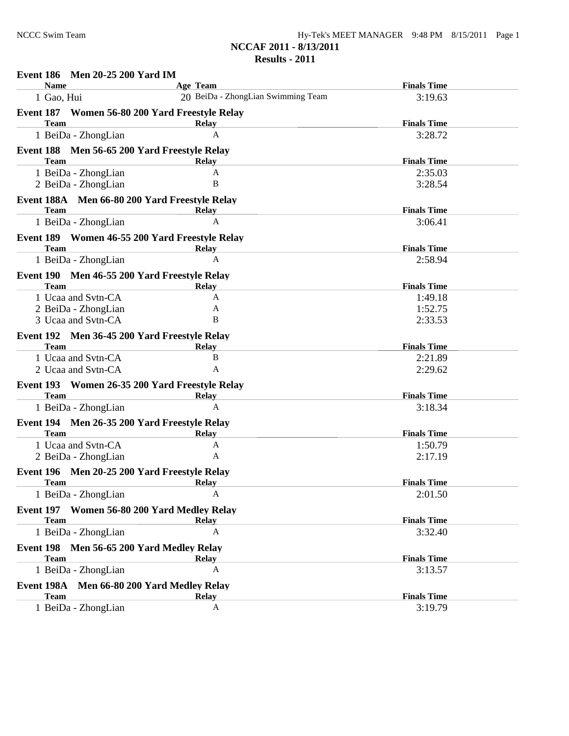| <b>Men 20-25 200 Yard IM</b><br><b>Event 186</b>              |                                                |                               |
|---------------------------------------------------------------|------------------------------------------------|-------------------------------|
| <b>Name</b><br>1 Gao, Hui                                     | Age Team<br>20 BeiDa - ZhongLian Swimming Team | <b>Finals Time</b><br>3:19.63 |
|                                                               |                                                |                               |
| Event 187 Women 56-80 200 Yard Freestyle Relay<br><b>Team</b> | <b>Relay</b>                                   | <b>Finals Time</b>            |
| 1 BeiDa - ZhongLian                                           | $\mathbf{A}$                                   | 3:28.72                       |
| Event 188 Men 56-65 200 Yard Freestyle Relay                  |                                                |                               |
| <b>Team</b>                                                   | <b>Relay</b>                                   | <b>Finals Time</b>            |
| 1 BeiDa - ZhongLian                                           | A                                              | 2:35.03                       |
| 2 BeiDa - ZhongLian                                           | B                                              | 3:28.54                       |
| Event 188A Men 66-80 200 Yard Freestyle Relay                 |                                                |                               |
| <b>Team</b>                                                   | <b>Relay</b>                                   | <b>Finals Time</b>            |
| 1 BeiDa - ZhongLian                                           | A                                              | 3:06.41                       |
| Event 189 Women 46-55 200 Yard Freestyle Relay                |                                                |                               |
| <b>Team</b>                                                   | <b>Relay</b>                                   | <b>Finals Time</b>            |
| 1 BeiDa - ZhongLian                                           | A                                              | 2:58.94                       |
| Event 190 Men 46-55 200 Yard Freestyle Relay                  |                                                |                               |
| <b>Team</b>                                                   | Relay                                          | <b>Finals Time</b>            |
| 1 Ucaa and Svtn-CA                                            | A                                              | 1:49.18                       |
| 2 BeiDa - ZhongLian                                           | A                                              | 1:52.75                       |
| 3 Ucaa and Svtn-CA                                            | B                                              | 2:33.53                       |
| Event 192 Men 36-45 200 Yard Freestyle Relay                  |                                                |                               |
| Team                                                          | <b>Relay</b>                                   | <b>Finals Time</b>            |
| 1 Ucaa and Svtn-CA                                            | $\bf{B}$                                       | 2:21.89                       |
| 2 Ucaa and Svtn-CA                                            | A                                              | 2:29.62                       |
| Event 193 Women 26-35 200 Yard Freestyle Relay                |                                                |                               |
| <b>Team</b>                                                   | Relay                                          | <b>Finals Time</b>            |
| 1 BeiDa - ZhongLian                                           | A                                              | 3:18.34                       |
| Event 194 Men 26-35 200 Yard Freestyle Relay                  |                                                |                               |
| <b>Team</b>                                                   | Relay                                          | <b>Finals Time</b>            |
| 1 Ucaa and Svtn-CA<br>2 BeiDa - ZhongLian                     | A<br>A                                         | 1:50.79                       |
|                                                               |                                                | 2:17.19                       |
| Event 196 Men 20-25 200 Yard Freestyle Relay<br><b>Team</b>   |                                                | <b>Finals Time</b>            |
| 1 BeiDa - ZhongLian                                           | Relav<br>A                                     | 2:01.50                       |
|                                                               |                                                |                               |
| Event 197 Women 56-80 200 Yard Medley Relay<br><b>Team</b>    |                                                | <b>Finals Time</b>            |
| 1 BeiDa - ZhongLian                                           | <b>Relay</b><br>A                              | 3:32.40                       |
|                                                               |                                                |                               |
| Event 198 Men 56-65 200 Yard Medley Relay<br><b>Team</b>      |                                                |                               |
| 1 BeiDa - ZhongLian                                           | <b>Relay</b><br>A                              | <b>Finals Time</b><br>3:13.57 |
|                                                               |                                                |                               |
| Event 198A<br>Men 66-80 200 Yard Medley Relay                 |                                                |                               |
| <b>Team</b>                                                   | <b>Relay</b><br>A                              | <b>Finals Time</b>            |
| 1 BeiDa - ZhongLian                                           |                                                | 3:19.79                       |